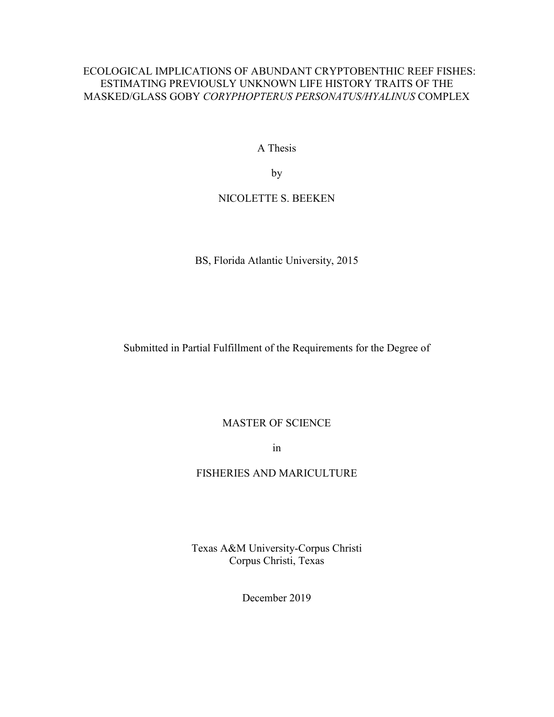## ECOLOGICAL IMPLICATIONS OF ABUNDANT CRYPTOBENTHIC REEF FISHES: ESTIMATING PREVIOUSLY UNKNOWN LIFE HISTORY TRAITS OF THE MASKED/GLASS GOBY *CORYPHOPTERUS PERSONATUS/HYALINUS* COMPLEX

A Thesis

by

## NICOLETTE S. BEEKEN

BS, Florida Atlantic University, 2015

Submitted in Partial Fulfillment of the Requirements for the Degree of

## MASTER OF SCIENCE

in

## FISHERIES AND MARICULTURE

Texas A&M University-Corpus Christi Corpus Christi, Texas

December 2019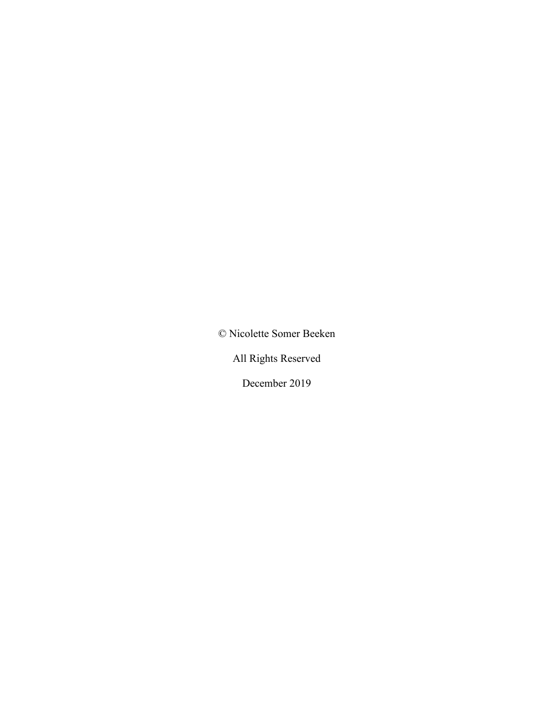© Nicolette Somer Beeken

All Rights Reserved

December 2019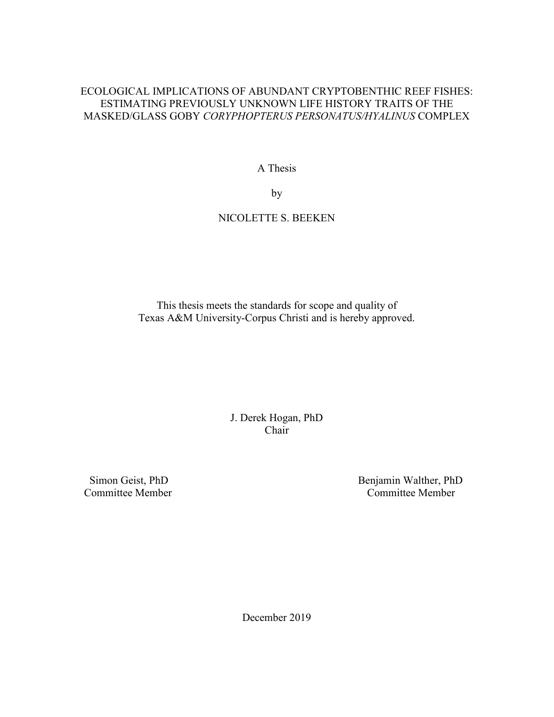## ECOLOGICAL IMPLICATIONS OF ABUNDANT CRYPTOBENTHIC REEF FISHES: ESTIMATING PREVIOUSLY UNKNOWN LIFE HISTORY TRAITS OF THE MASKED/GLASS GOBY *CORYPHOPTERUS PERSONATUS/HYALINUS* COMPLEX

A Thesis

by

# NICOLETTE S. BEEKEN

This thesis meets the standards for scope and quality of Texas A&M University-Corpus Christi and is hereby approved.

> J. Derek Hogan, PhD Chair

Committee Member

Simon Geist, PhD<br>
Sommittee Member<br>
Sommittee Member<br>
Committee Member

December 2019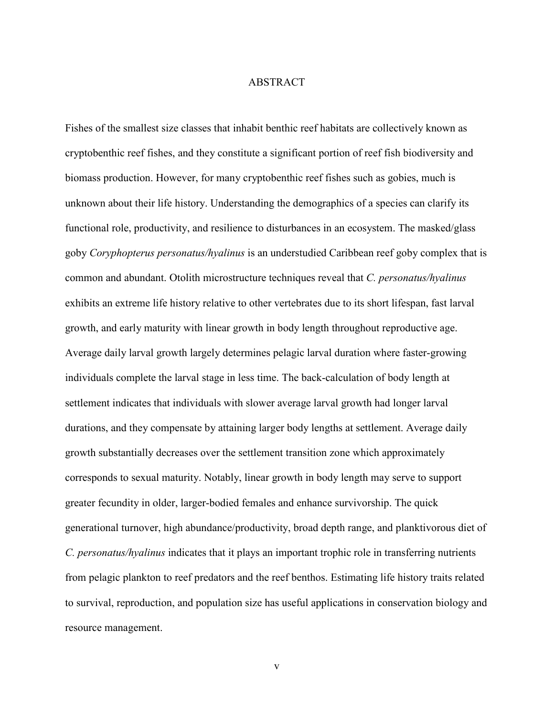#### ABSTRACT

Fishes of the smallest size classes that inhabit benthic reef habitats are collectively known as cryptobenthic reef fishes, and they constitute a significant portion of reef fish biodiversity and biomass production. However, for many cryptobenthic reef fishes such as gobies, much is unknown about their life history. Understanding the demographics of a species can clarify its functional role, productivity, and resilience to disturbances in an ecosystem. The masked/glass goby *Coryphopterus personatus/hyalinus* is an understudied Caribbean reef goby complex that is common and abundant. Otolith microstructure techniques reveal that *C. personatus/hyalinus*  exhibits an extreme life history relative to other vertebrates due to its short lifespan, fast larval growth, and early maturity with linear growth in body length throughout reproductive age. Average daily larval growth largely determines pelagic larval duration where faster-growing individuals complete the larval stage in less time. The back-calculation of body length at settlement indicates that individuals with slower average larval growth had longer larval durations, and they compensate by attaining larger body lengths at settlement. Average daily growth substantially decreases over the settlement transition zone which approximately corresponds to sexual maturity. Notably, linear growth in body length may serve to support greater fecundity in older, larger-bodied females and enhance survivorship. The quick generational turnover, high abundance/productivity, broad depth range, and planktivorous diet of *C. personatus/hyalinus* indicates that it plays an important trophic role in transferring nutrients from pelagic plankton to reef predators and the reef benthos. Estimating life history traits related to survival, reproduction, and population size has useful applications in conservation biology and resource management.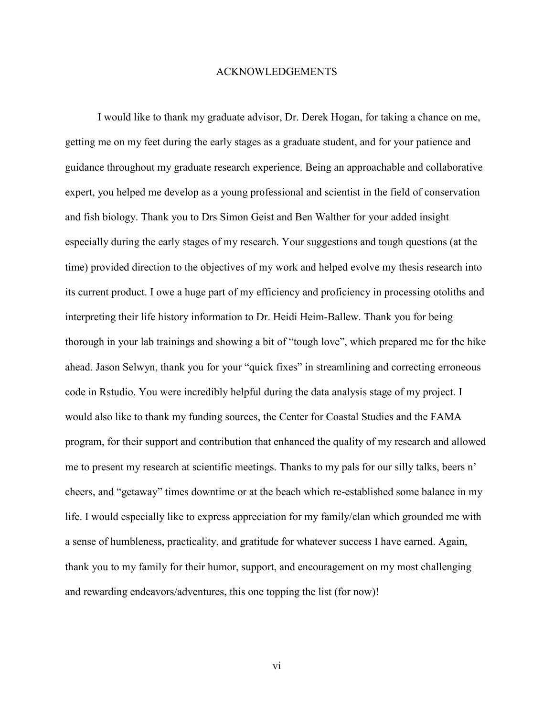### ACKNOWLEDGEMENTS

 I would like to thank my graduate advisor, Dr. Derek Hogan, for taking a chance on me, getting me on my feet during the early stages as a graduate student, and for your patience and guidance throughout my graduate research experience. Being an approachable and collaborative expert, you helped me develop as a young professional and scientist in the field of conservation and fish biology. Thank you to Drs Simon Geist and Ben Walther for your added insight especially during the early stages of my research. Your suggestions and tough questions (at the time) provided direction to the objectives of my work and helped evolve my thesis research into its current product. I owe a huge part of my efficiency and proficiency in processing otoliths and interpreting their life history information to Dr. Heidi Heim-Ballew. Thank you for being thorough in your lab trainings and showing a bit of "tough love", which prepared me for the hike ahead. Jason Selwyn, thank you for your "quick fixes" in streamlining and correcting erroneous code in Rstudio. You were incredibly helpful during the data analysis stage of my project. I would also like to thank my funding sources, the Center for Coastal Studies and the FAMA program, for their support and contribution that enhanced the quality of my research and allowed me to present my research at scientific meetings. Thanks to my pals for our silly talks, beers n' cheers, and "getaway" times downtime or at the beach which re-established some balance in my life. I would especially like to express appreciation for my family/clan which grounded me with a sense of humbleness, practicality, and gratitude for whatever success I have earned. Again, thank you to my family for their humor, support, and encouragement on my most challenging and rewarding endeavors/adventures, this one topping the list (for now)!

vi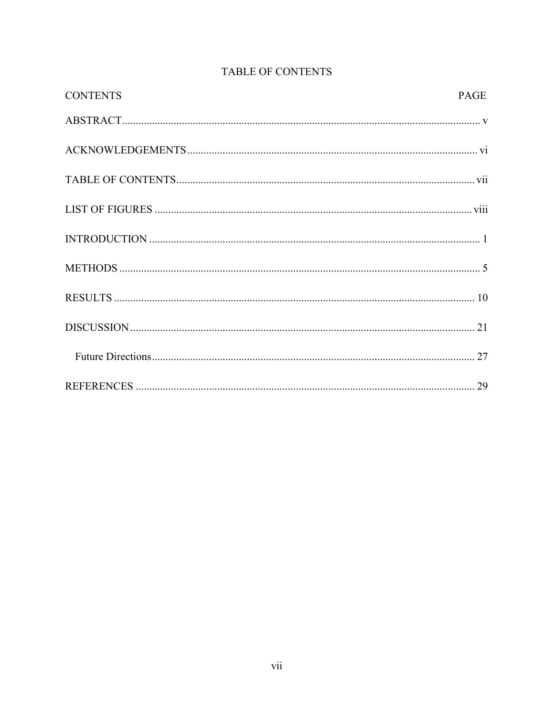| <b>CONTENTS</b> | <b>PAGE</b> |
|-----------------|-------------|
|                 |             |
|                 |             |
|                 |             |
|                 |             |
|                 |             |
|                 |             |
|                 |             |
|                 |             |
|                 |             |
|                 |             |

# TABLE OF CONTENTS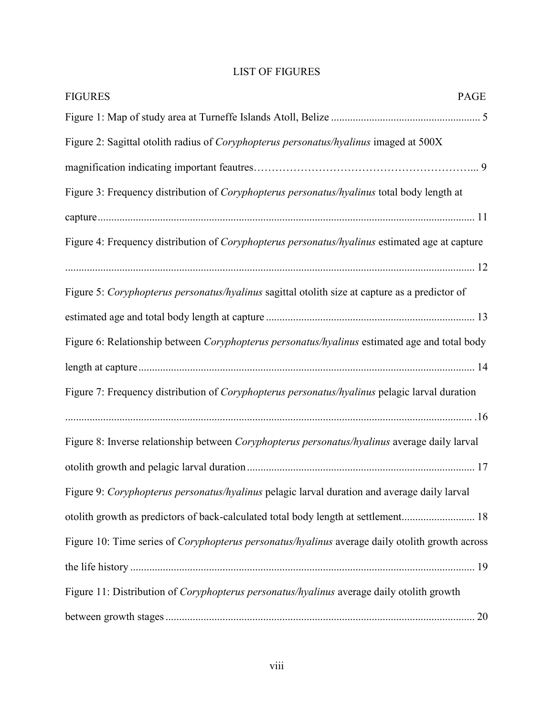# LIST OF FIGURES

| <b>FIGURES</b><br>PAGE                                                                                |  |
|-------------------------------------------------------------------------------------------------------|--|
|                                                                                                       |  |
| Figure 2: Sagittal otolith radius of Coryphopterus personatus/hyalinus imaged at 500X                 |  |
|                                                                                                       |  |
| Figure 3: Frequency distribution of Coryphopterus personatus/hyalinus total body length at            |  |
|                                                                                                       |  |
| Figure 4: Frequency distribution of <i>Coryphopterus personatus/hyalinus</i> estimated age at capture |  |
|                                                                                                       |  |
| Figure 5: Coryphopterus personatus/hyalinus sagittal otolith size at capture as a predictor of        |  |
|                                                                                                       |  |
| Figure 6: Relationship between Coryphopterus personatus/hyalinus estimated age and total body         |  |
|                                                                                                       |  |
| Figure 7: Frequency distribution of <i>Coryphopterus personatus/hyalinus</i> pelagic larval duration  |  |
|                                                                                                       |  |
| Figure 8: Inverse relationship between Coryphopterus personatus/hyalinus average daily larval         |  |
|                                                                                                       |  |
| Figure 9: Coryphopterus personatus/hyalinus pelagic larval duration and average daily larval          |  |
| otolith growth as predictors of back-calculated total body length at settlement 18                    |  |
| Figure 10: Time series of Coryphopterus personatus/hyalinus average daily otolith growth across       |  |
|                                                                                                       |  |
| Figure 11: Distribution of Coryphopterus personatus/hyalinus average daily otolith growth             |  |
|                                                                                                       |  |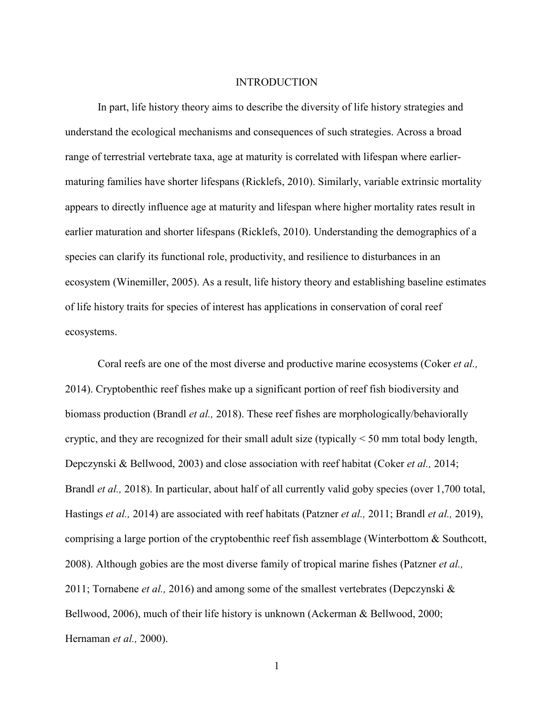### **INTRODUCTION**

In part, life history theory aims to describe the diversity of life history strategies and understand the ecological mechanisms and consequences of such strategies. Across a broad range of terrestrial vertebrate taxa, age at maturity is correlated with lifespan where earliermaturing families have shorter lifespans (Ricklefs, 2010). Similarly, variable extrinsic mortality appears to directly influence age at maturity and lifespan where higher mortality rates result in earlier maturation and shorter lifespans (Ricklefs, 2010). Understanding the demographics of a species can clarify its functional role, productivity, and resilience to disturbances in an ecosystem (Winemiller, 2005). As a result, life history theory and establishing baseline estimates of life history traits for species of interest has applications in conservation of coral reef ecosystems.

 Coral reefs are one of the most diverse and productive marine ecosystems (Coker *et al.,* 2014). Cryptobenthic reef fishes make up a significant portion of reef fish biodiversity and biomass production (Brandl *et al.,* 2018). These reef fishes are morphologically/behaviorally cryptic, and they are recognized for their small adult size (typically < 50 mm total body length, Depczynski & Bellwood, 2003) and close association with reef habitat (Coker *et al.,* 2014; Brandl *et al.,* 2018). In particular, about half of all currently valid goby species (over 1,700 total, Hastings *et al.,* 2014) are associated with reef habitats (Patzner *et al.,* 2011; Brandl *et al.,* 2019), comprising a large portion of the cryptobenthic reef fish assemblage (Winterbottom & Southcott, 2008). Although gobies are the most diverse family of tropical marine fishes (Patzner *et al.,* 2011; Tornabene *et al.,* 2016) and among some of the smallest vertebrates (Depczynski & Bellwood, 2006), much of their life history is unknown (Ackerman & Bellwood, 2000; Hernaman *et al.,* 2000).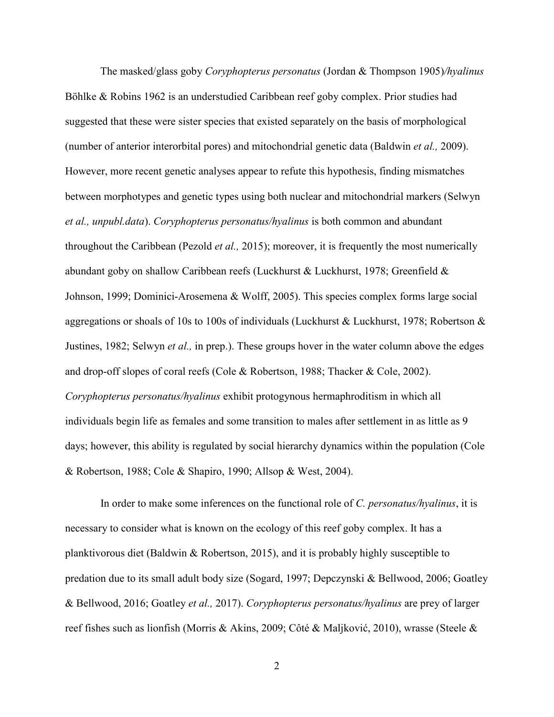The masked/glass goby *Coryphopterus personatus* (Jordan & Thompson 1905)*/hyalinus* Böhlke & Robins 1962 is an understudied Caribbean reef goby complex. Prior studies had suggested that these were sister species that existed separately on the basis of morphological (number of anterior interorbital pores) and mitochondrial genetic data (Baldwin *et al.,* 2009). However, more recent genetic analyses appear to refute this hypothesis, finding mismatches between morphotypes and genetic types using both nuclear and mitochondrial markers (Selwyn *et al., unpubl.data*). *Coryphopterus personatus/hyalinus* is both common and abundant throughout the Caribbean (Pezold *et al.,* 2015); moreover, it is frequently the most numerically abundant goby on shallow Caribbean reefs (Luckhurst & Luckhurst, 1978; Greenfield  $\&$ Johnson, 1999; Dominici-Arosemena & Wolff, 2005). This species complex forms large social aggregations or shoals of 10s to 100s of individuals (Luckhurst & Luckhurst, 1978; Robertson & Justines, 1982; Selwyn *et al.,* in prep.). These groups hover in the water column above the edges and drop-off slopes of coral reefs (Cole & Robertson, 1988; Thacker & Cole, 2002). *Coryphopterus personatus/hyalinus* exhibit protogynous hermaphroditism in which all individuals begin life as females and some transition to males after settlement in as little as 9 days; however, this ability is regulated by social hierarchy dynamics within the population (Cole & Robertson, 1988; Cole & Shapiro, 1990; Allsop & West, 2004).

 In order to make some inferences on the functional role of *C. personatus/hyalinus*, it is necessary to consider what is known on the ecology of this reef goby complex. It has a planktivorous diet (Baldwin & Robertson, 2015), and it is probably highly susceptible to predation due to its small adult body size (Sogard, 1997; Depczynski & Bellwood, 2006; Goatley & Bellwood, 2016; Goatley *et al.,* 2017). *Coryphopterus personatus/hyalinus* are prey of larger reef fishes such as lionfish (Morris & Akins, 2009; Côté & Maljković, 2010), wrasse (Steele &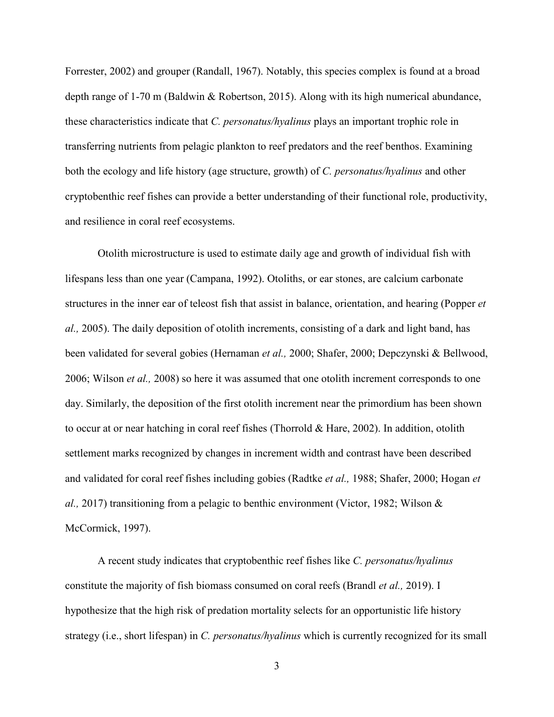Forrester, 2002) and grouper (Randall, 1967). Notably, this species complex is found at a broad depth range of 1-70 m (Baldwin & Robertson, 2015). Along with its high numerical abundance, these characteristics indicate that *C. personatus/hyalinus* plays an important trophic role in transferring nutrients from pelagic plankton to reef predators and the reef benthos. Examining both the ecology and life history (age structure, growth) of *C. personatus/hyalinus* and other cryptobenthic reef fishes can provide a better understanding of their functional role, productivity, and resilience in coral reef ecosystems.

 Otolith microstructure is used to estimate daily age and growth of individual fish with lifespans less than one year (Campana, 1992). Otoliths, or ear stones, are calcium carbonate structures in the inner ear of teleost fish that assist in balance, orientation, and hearing (Popper *et al.,* 2005). The daily deposition of otolith increments, consisting of a dark and light band, has been validated for several gobies (Hernaman *et al.,* 2000; Shafer, 2000; Depczynski & Bellwood, 2006; Wilson *et al.,* 2008) so here it was assumed that one otolith increment corresponds to one day. Similarly, the deposition of the first otolith increment near the primordium has been shown to occur at or near hatching in coral reef fishes (Thorrold & Hare, 2002). In addition, otolith settlement marks recognized by changes in increment width and contrast have been described and validated for coral reef fishes including gobies (Radtke *et al.,* 1988; Shafer, 2000; Hogan *et al.,* 2017) transitioning from a pelagic to benthic environment (Victor, 1982; Wilson & McCormick, 1997).

 A recent study indicates that cryptobenthic reef fishes like *C. personatus/hyalinus*  constitute the majority of fish biomass consumed on coral reefs (Brandl *et al.,* 2019). I hypothesize that the high risk of predation mortality selects for an opportunistic life history strategy (i.e., short lifespan) in *C. personatus/hyalinus* which is currently recognized for its small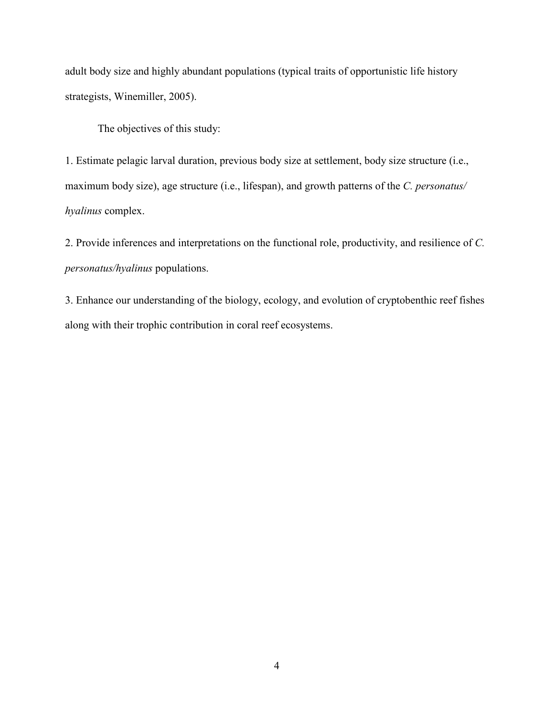adult body size and highly abundant populations (typical traits of opportunistic life history strategists, Winemiller, 2005).

The objectives of this study:

1. Estimate pelagic larval duration, previous body size at settlement, body size structure (i.e., maximum body size), age structure (i.e., lifespan), and growth patterns of the *C. personatus/ hyalinus* complex.

2. Provide inferences and interpretations on the functional role, productivity, and resilience of *C. personatus/hyalinus* populations.

3. Enhance our understanding of the biology, ecology, and evolution of cryptobenthic reef fishes along with their trophic contribution in coral reef ecosystems.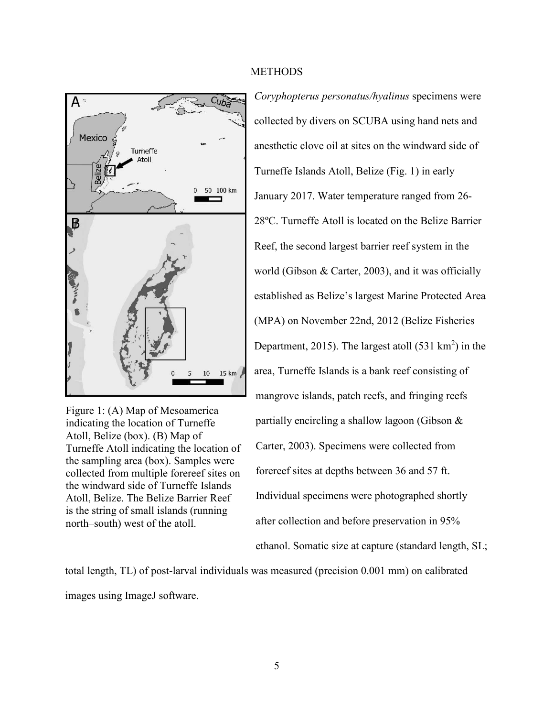

Figure 1: (A) Map of Mesoamerica indicating the location of Turneffe Atoll, Belize (box). (B) Map of Turneffe Atoll indicating the location of the sampling area (box). Samples were collected from multiple forereef sites on the windward side of Turneffe Islands Atoll, Belize. The Belize Barrier Reef is the string of small islands (running north–south) west of the atoll.

### **METHODS**

*Coryphopterus personatus/hyalinus* specimens were collected by divers on SCUBA using hand nets and anesthetic clove oil at sites on the windward side of Turneffe Islands Atoll, Belize (Fig. 1) in early January 2017. Water temperature ranged from 26- 28ºC. Turneffe Atoll is located on the Belize Barrier Reef, the second largest barrier reef system in the world (Gibson & Carter, 2003), and it was officially established as Belize's largest Marine Protected Area (MPA) on November 22nd, 2012 (Belize Fisheries Department, 2015). The largest atoll  $(531 \text{ km}^2)$  in the area, Turneffe Islands is a bank reef consisting of mangrove islands, patch reefs, and fringing reefs partially encircling a shallow lagoon (Gibson & Carter, 2003). Specimens were collected from forereef sites at depths between 36 and 57 ft. Individual specimens were photographed shortly after collection and before preservation in 95% ethanol. Somatic size at capture (standard length, SL;

total length, TL) of post-larval individuals was measured (precision 0.001 mm) on calibrated images using ImageJ software.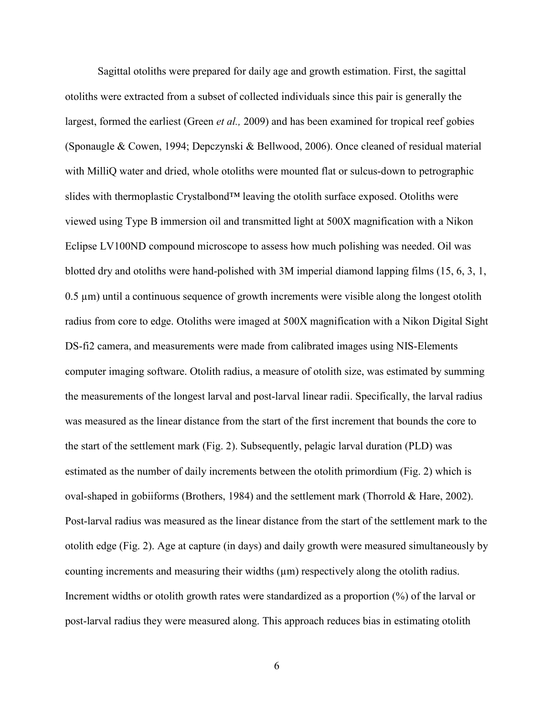Sagittal otoliths were prepared for daily age and growth estimation. First, the sagittal otoliths were extracted from a subset of collected individuals since this pair is generally the largest, formed the earliest (Green *et al.,* 2009) and has been examined for tropical reef gobies (Sponaugle & Cowen, 1994; Depczynski & Bellwood, 2006). Once cleaned of residual material with MilliQ water and dried, whole otoliths were mounted flat or sulcus-down to petrographic slides with thermoplastic Crystalbond™ leaving the otolith surface exposed. Otoliths were viewed using Type B immersion oil and transmitted light at 500X magnification with a Nikon Eclipse LV100ND compound microscope to assess how much polishing was needed. Oil was blotted dry and otoliths were hand-polished with 3M imperial diamond lapping films (15, 6, 3, 1,  $0.5 \mu m$ ) until a continuous sequence of growth increments were visible along the longest otolith radius from core to edge. Otoliths were imaged at 500X magnification with a Nikon Digital Sight DS-fi2 camera, and measurements were made from calibrated images using NIS-Elements computer imaging software. Otolith radius, a measure of otolith size, was estimated by summing the measurements of the longest larval and post-larval linear radii. Specifically, the larval radius was measured as the linear distance from the start of the first increment that bounds the core to the start of the settlement mark (Fig. 2). Subsequently, pelagic larval duration (PLD) was estimated as the number of daily increments between the otolith primordium (Fig. 2) which is oval-shaped in gobiiforms (Brothers, 1984) and the settlement mark (Thorrold & Hare, 2002). Post-larval radius was measured as the linear distance from the start of the settlement mark to the otolith edge (Fig. 2). Age at capture (in days) and daily growth were measured simultaneously by counting increments and measuring their widths  $(\mu m)$  respectively along the otolith radius. Increment widths or otolith growth rates were standardized as a proportion (%) of the larval or post-larval radius they were measured along. This approach reduces bias in estimating otolith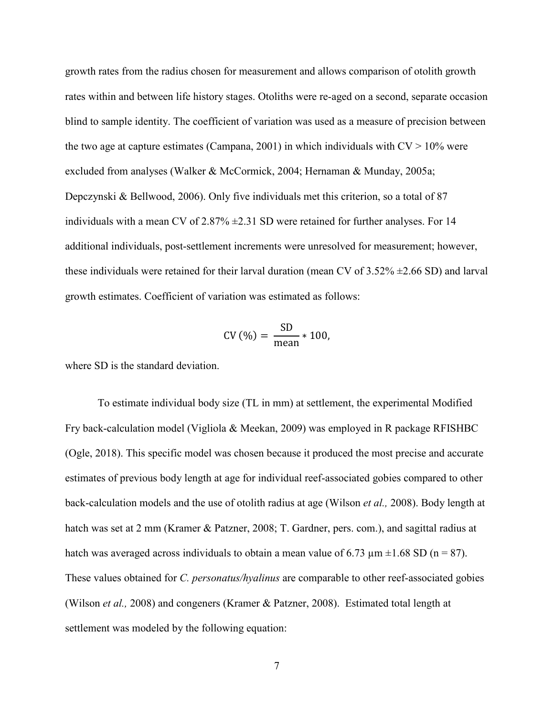growth rates from the radius chosen for measurement and allows comparison of otolith growth rates within and between life history stages. Otoliths were re-aged on a second, separate occasion blind to sample identity. The coefficient of variation was used as a measure of precision between the two age at capture estimates (Campana, 2001) in which individuals with  $CV > 10\%$  were excluded from analyses (Walker & McCormick, 2004; Hernaman & Munday, 2005a; Depczynski & Bellwood, 2006). Only five individuals met this criterion, so a total of 87 individuals with a mean CV of  $2.87\% \pm 2.31$  SD were retained for further analyses. For 14 additional individuals, post-settlement increments were unresolved for measurement; however, these individuals were retained for their larval duration (mean CV of  $3.52\% \pm 2.66$  SD) and larval growth estimates. Coefficient of variation was estimated as follows:

$$
CV(%) = \frac{SD}{mean} * 100,
$$

where SD is the standard deviation.

 To estimate individual body size (TL in mm) at settlement, the experimental Modified Fry back-calculation model (Vigliola & Meekan, 2009) was employed in R package RFISHBC (Ogle, 2018). This specific model was chosen because it produced the most precise and accurate estimates of previous body length at age for individual reef-associated gobies compared to other back-calculation models and the use of otolith radius at age (Wilson *et al.,* 2008). Body length at hatch was set at 2 mm (Kramer & Patzner, 2008; T. Gardner, pers. com.), and sagittal radius at hatch was averaged across individuals to obtain a mean value of 6.73  $\mu$ m  $\pm$ 1.68 SD (n = 87). These values obtained for *C. personatus/hyalinus* are comparable to other reef-associated gobies (Wilson *et al.,* 2008) and congeners (Kramer & Patzner, 2008). Estimated total length at settlement was modeled by the following equation: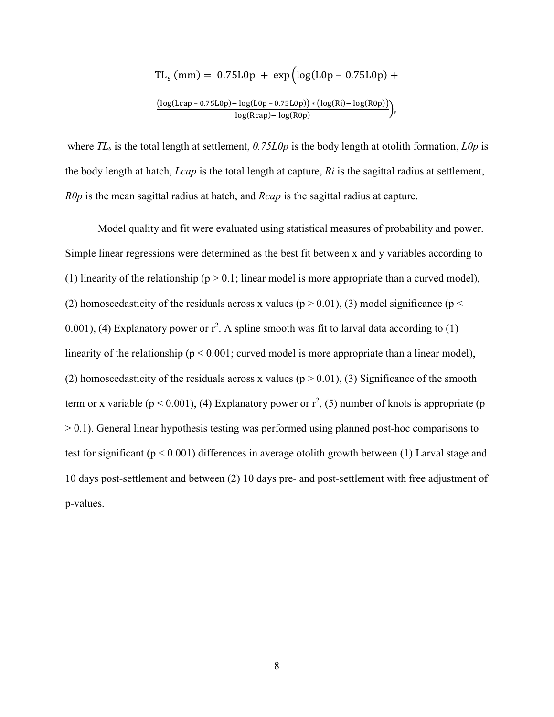$$
TL_s (mm) = 0.75L0p + exp (log(L0p - 0.75L0p) +
$$
  

$$
\frac{(log(Lcap - 0.75L0p) - log(L0p - 0.75L0p)) * (log(Ri) - log(R0p))}{log(Rcap) - log(R0p)})
$$

where *TLs* is the total length at settlement, *0.75L0p* is the body length at otolith formation, *L0p* is the body length at hatch, *Lcap* is the total length at capture, *Ri* is the sagittal radius at settlement, *R0p* is the mean sagittal radius at hatch, and *Rcap* is the sagittal radius at capture.

 Model quality and fit were evaluated using statistical measures of probability and power. Simple linear regressions were determined as the best fit between x and y variables according to (1) linearity of the relationship ( $p > 0.1$ ; linear model is more appropriate than a curved model), (2) homoscedasticity of the residuals across x values ( $p > 0.01$ ), (3) model significance ( $p <$ 0.001), (4) Explanatory power or  $r^2$ . A spline smooth was fit to larval data according to (1) linearity of the relationship ( $p < 0.001$ ; curved model is more appropriate than a linear model), (2) homoscedasticity of the residuals across x values ( $p > 0.01$ ), (3) Significance of the smooth term or x variable ( $p < 0.001$ ), (4) Explanatory power or  $r^2$ , (5) number of knots is appropriate (p > 0.1). General linear hypothesis testing was performed using planned post-hoc comparisons to test for significant (p < 0.001) differences in average otolith growth between (1) Larval stage and 10 days post-settlement and between (2) 10 days pre- and post-settlement with free adjustment of p-values.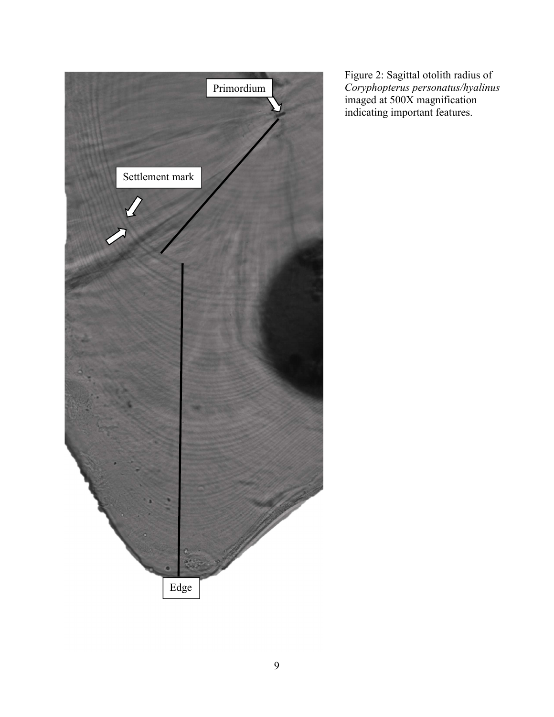

Figure 2: Sagittal otolith radius of *Coryphopterus personatus/hyalinus* imaged at 500X magnification indicating important features.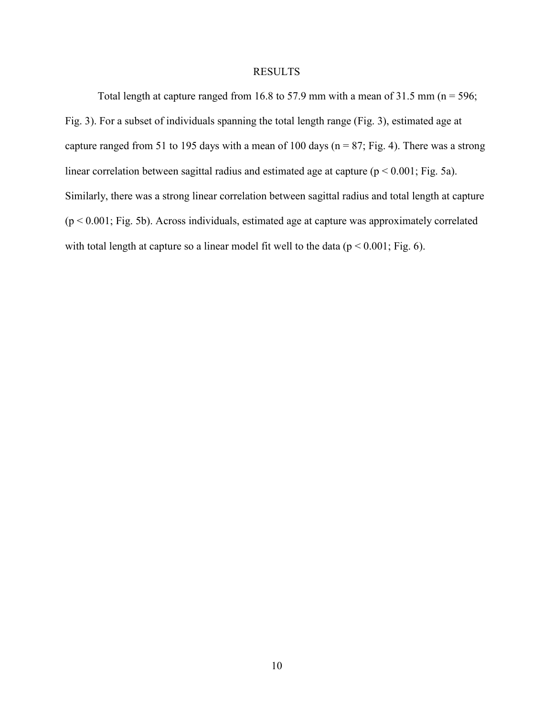### RESULTS

Total length at capture ranged from 16.8 to 57.9 mm with a mean of 31.5 mm ( $n = 596$ ; Fig. 3). For a subset of individuals spanning the total length range (Fig. 3), estimated age at capture ranged from 51 to 195 days with a mean of 100 days ( $n = 87$ ; Fig. 4). There was a strong linear correlation between sagittal radius and estimated age at capture  $(p < 0.001$ ; Fig. 5a). Similarly, there was a strong linear correlation between sagittal radius and total length at capture (p < 0.001; Fig. 5b). Across individuals, estimated age at capture was approximately correlated with total length at capture so a linear model fit well to the data ( $p < 0.001$ ; Fig. 6).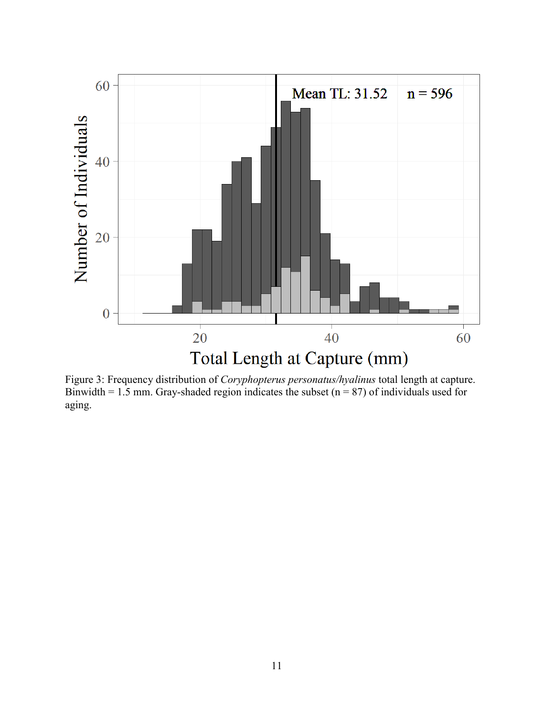

Figure 3: Frequency distribution of *Coryphopterus personatus/hyalinus* total length at capture. Binwidth = 1.5 mm. Gray-shaded region indicates the subset ( $n = 87$ ) of individuals used for aging.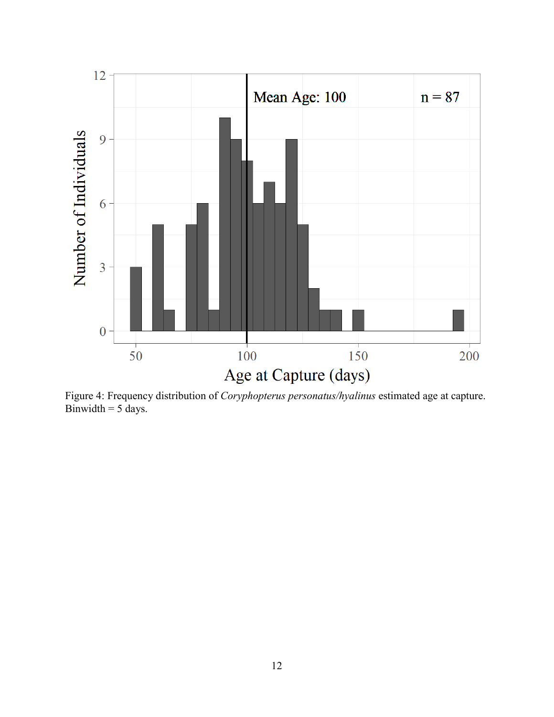

Figure 4: Frequency distribution of *Coryphopterus personatus/hyalinus* estimated age at capture. Binwidth  $= 5$  days.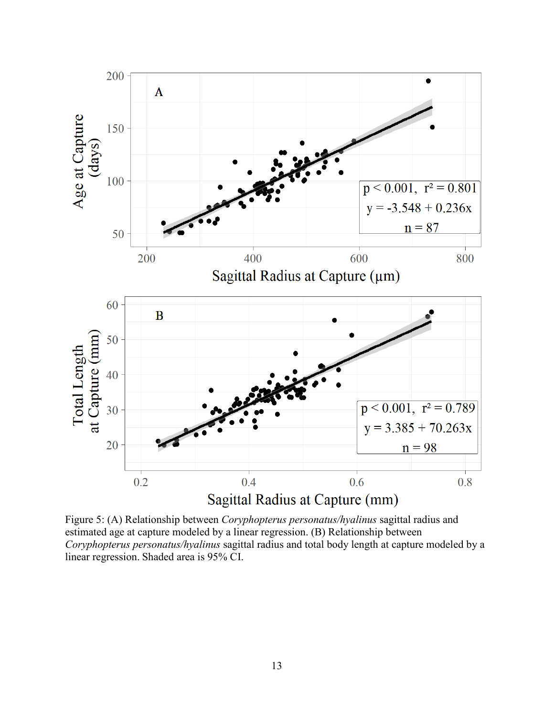

Figure 5: (A) Relationship between *Coryphopterus personatus/hyalinus* sagittal radius and estimated age at capture modeled by a linear regression. (B) Relationship between *Coryphopterus personatus/hyalinus* sagittal radius and total body length at capture modeled by a linear regression. Shaded area is 95% CI.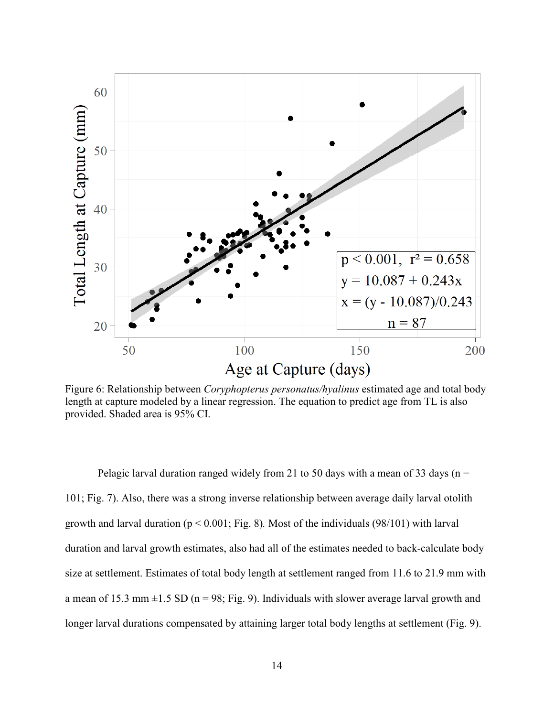

Figure 6: Relationship between *Coryphopterus personatus/hyalinus* estimated age and total body length at capture modeled by a linear regression. The equation to predict age from TL is also provided. Shaded area is 95% CI.

Pelagic larval duration ranged widely from 21 to 50 days with a mean of 33 days ( $n =$ 101; Fig. 7). Also, there was a strong inverse relationship between average daily larval otolith growth and larval duration (p < 0.001; Fig. 8)*.* Most of the individuals (98/101) with larval duration and larval growth estimates, also had all of the estimates needed to back-calculate body size at settlement. Estimates of total body length at settlement ranged from 11.6 to 21.9 mm with a mean of 15.3 mm  $\pm$ 1.5 SD (n = 98; Fig. 9). Individuals with slower average larval growth and longer larval durations compensated by attaining larger total body lengths at settlement (Fig. 9).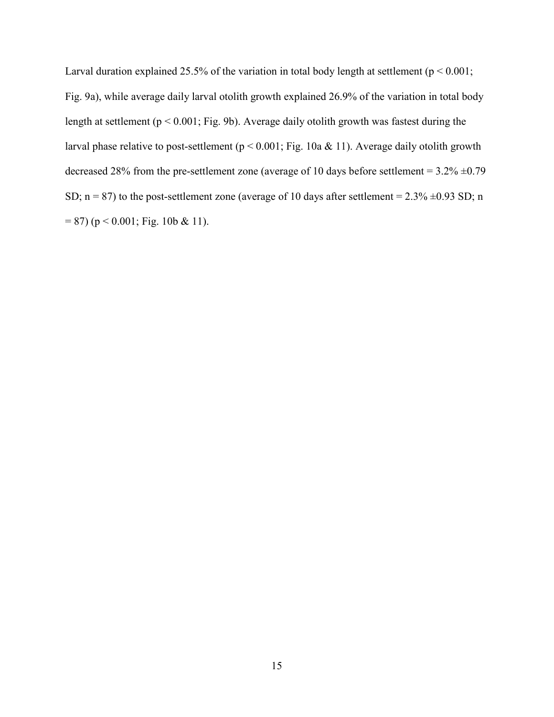Larval duration explained 25.5% of the variation in total body length at settlement ( $p < 0.001$ ; Fig. 9a), while average daily larval otolith growth explained 26.9% of the variation in total body length at settlement ( $p < 0.001$ ; Fig. 9b). Average daily otolith growth was fastest during the larval phase relative to post-settlement ( $p < 0.001$ ; Fig. 10a & 11). Average daily otolith growth decreased 28% from the pre-settlement zone (average of 10 days before settlement =  $3.2\% \pm 0.79$ ) SD;  $n = 87$ ) to the post-settlement zone (average of 10 days after settlement = 2.3%  $\pm$ 0.93 SD; n  $= 87$ ) (p < 0.001; Fig. 10b & 11).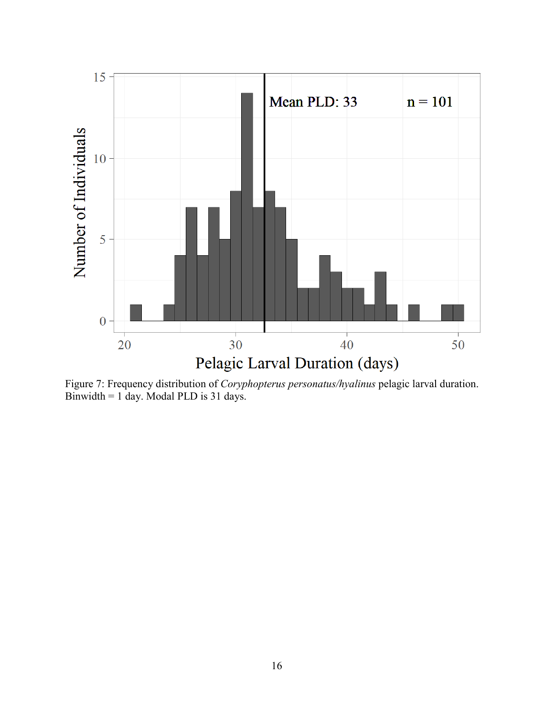

Figure 7: Frequency distribution of *Coryphopterus personatus/hyalinus* pelagic larval duration. Binwidth = 1 day. Modal PLD is 31 days.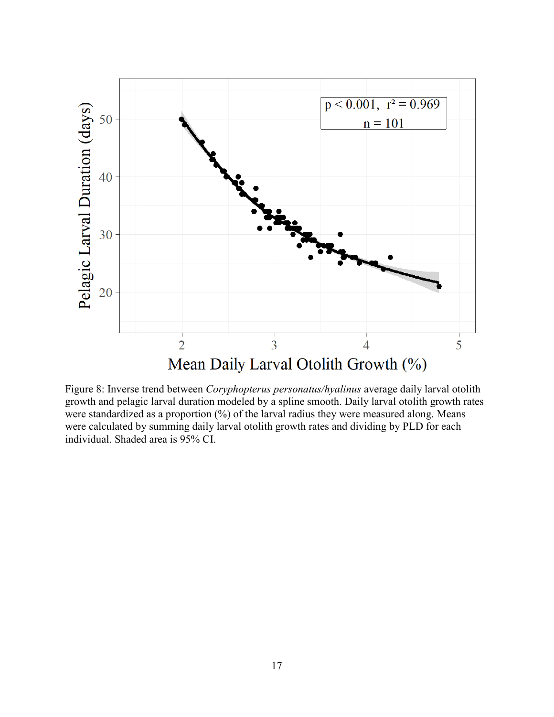

Figure 8: Inverse trend between *Coryphopterus personatus/hyalinus* average daily larval otolith growth and pelagic larval duration modeled by a spline smooth. Daily larval otolith growth rates were standardized as a proportion  $(\%)$  of the larval radius they were measured along. Means were calculated by summing daily larval otolith growth rates and dividing by PLD for each individual. Shaded area is 95% CI.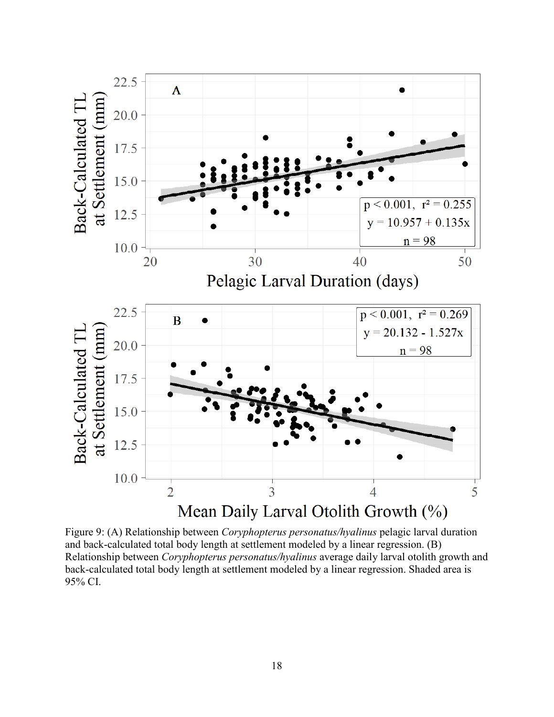

Figure 9: (A) Relationship between *Coryphopterus personatus/hyalinus* pelagic larval duration and back-calculated total body length at settlement modeled by a linear regression. (B) Relationship between *Coryphopterus personatus/hyalinus* average daily larval otolith growth and back-calculated total body length at settlement modeled by a linear regression. Shaded area is 95% CI.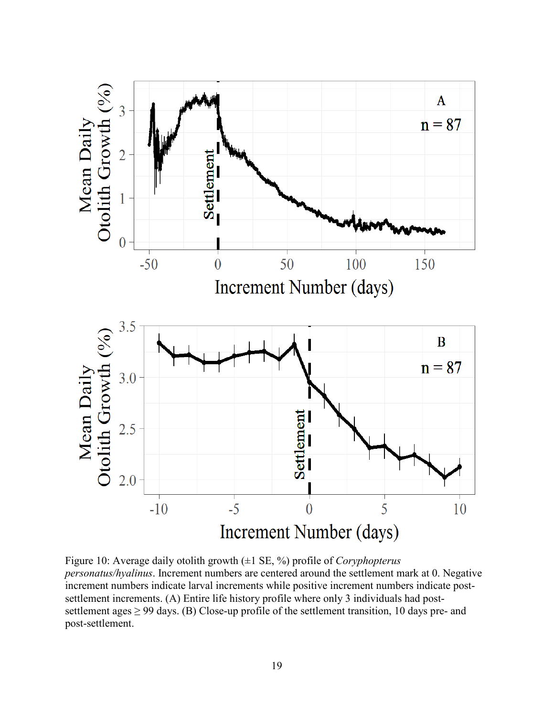

Figure 10: Average daily otolith growth (±1 SE, %) profile of *Coryphopterus personatus/hyalinus*. Increment numbers are centered around the settlement mark at 0. Negative increment numbers indicate larval increments while positive increment numbers indicate postsettlement increments. (A) Entire life history profile where only 3 individuals had postsettlement ages  $\geq$  99 days. (B) Close-up profile of the settlement transition, 10 days pre- and post-settlement.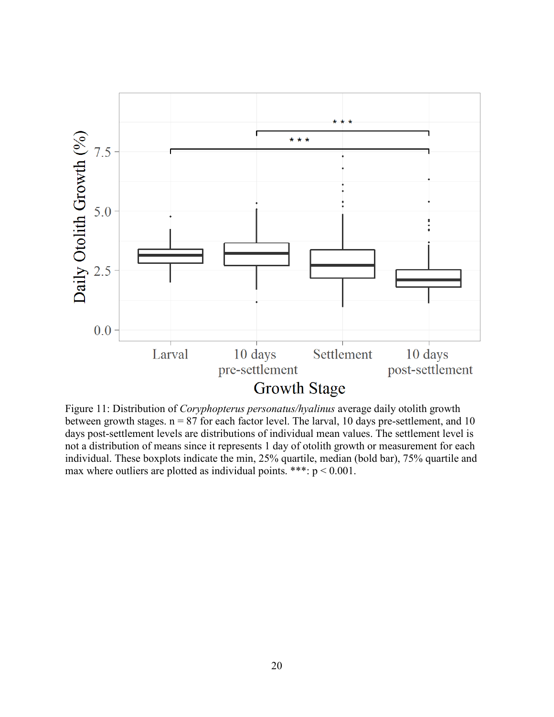

Figure 11: Distribution of *Coryphopterus personatus/hyalinus* average daily otolith growth between growth stages.  $n = 87$  for each factor level. The larval, 10 days pre-settlement, and 10 days post-settlement levels are distributions of individual mean values. The settlement level is not a distribution of means since it represents 1 day of otolith growth or measurement for each individual. These boxplots indicate the min, 25% quartile, median (bold bar), 75% quartile and max where outliers are plotted as individual points. \*\*\*: p < 0.001.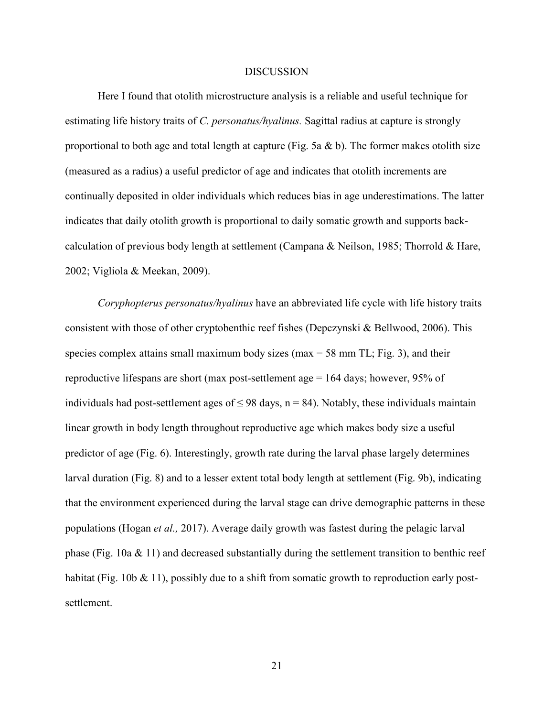### DISCUSSION

 Here I found that otolith microstructure analysis is a reliable and useful technique for estimating life history traits of *C. personatus/hyalinus.* Sagittal radius at capture is strongly proportional to both age and total length at capture (Fig. 5a  $\&$  b). The former makes otolith size (measured as a radius) a useful predictor of age and indicates that otolith increments are continually deposited in older individuals which reduces bias in age underestimations. The latter indicates that daily otolith growth is proportional to daily somatic growth and supports backcalculation of previous body length at settlement (Campana & Neilson, 1985; Thorrold & Hare, 2002; Vigliola & Meekan, 2009).

*Coryphopterus personatus/hyalinus* have an abbreviated life cycle with life history traits consistent with those of other cryptobenthic reef fishes (Depczynski & Bellwood, 2006). This species complex attains small maximum body sizes (max  $=$  58 mm TL; Fig. 3), and their reproductive lifespans are short (max post-settlement age = 164 days; however, 95% of individuals had post-settlement ages of  $\leq$  98 days, n = 84). Notably, these individuals maintain linear growth in body length throughout reproductive age which makes body size a useful predictor of age (Fig. 6). Interestingly, growth rate during the larval phase largely determines larval duration (Fig. 8) and to a lesser extent total body length at settlement (Fig. 9b), indicating that the environment experienced during the larval stage can drive demographic patterns in these populations (Hogan *et al.,* 2017). Average daily growth was fastest during the pelagic larval phase (Fig. 10a  $& 11$ ) and decreased substantially during the settlement transition to benthic reef habitat (Fig. 10b & 11), possibly due to a shift from somatic growth to reproduction early postsettlement.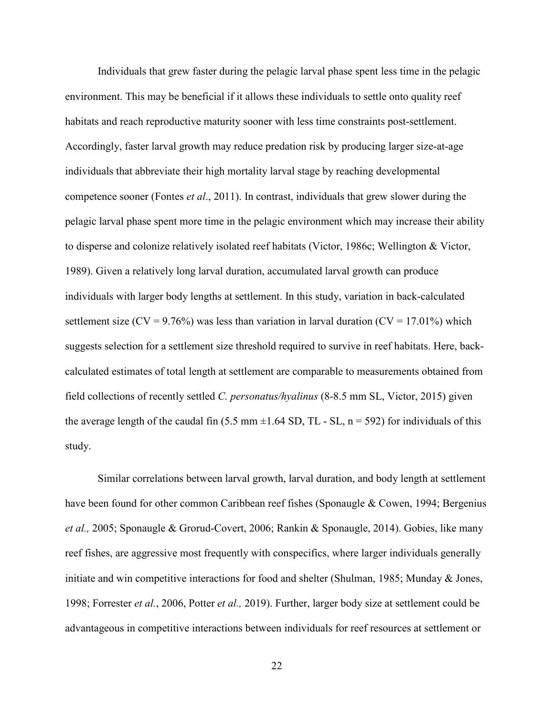Individuals that grew faster during the pelagic larval phase spent less time in the pelagic environment. This may be beneficial if it allows these individuals to settle onto quality reef habitats and reach reproductive maturity sooner with less time constraints post-settlement. Accordingly, faster larval growth may reduce predation risk by producing larger size-at-age individuals that abbreviate their high mortality larval stage by reaching developmental competence sooner (Fontes *et al*., 2011). In contrast, individuals that grew slower during the pelagic larval phase spent more time in the pelagic environment which may increase their ability to disperse and colonize relatively isolated reef habitats (Victor, 1986c; Wellington & Victor, 1989). Given a relatively long larval duration, accumulated larval growth can produce individuals with larger body lengths at settlement. In this study, variation in back-calculated settlement size (CV = 9.76%) was less than variation in larval duration (CV = 17.01%) which suggests selection for a settlement size threshold required to survive in reef habitats. Here, backcalculated estimates of total length at settlement are comparable to measurements obtained from field collections of recently settled *C. personatus/hyalinus* (8-8.5 mm SL, Victor, 2015) given the average length of the caudal fin (5.5 mm  $\pm$ 1.64 SD, TL - SL, n = 592) for individuals of this study.

 Similar correlations between larval growth, larval duration, and body length at settlement have been found for other common Caribbean reef fishes (Sponaugle & Cowen, 1994; Bergenius *et al.,* 2005; Sponaugle & Grorud-Covert, 2006; Rankin & Sponaugle, 2014). Gobies, like many reef fishes, are aggressive most frequently with conspecifics, where larger individuals generally initiate and win competitive interactions for food and shelter (Shulman, 1985; Munday & Jones, 1998; Forrester *et al.*, 2006, Potter *et al.,* 2019). Further, larger body size at settlement could be advantageous in competitive interactions between individuals for reef resources at settlement or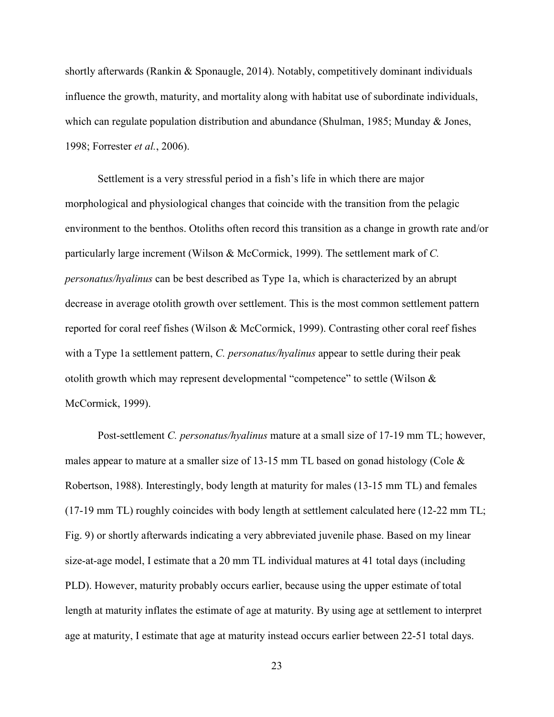shortly afterwards (Rankin & Sponaugle, 2014). Notably, competitively dominant individuals influence the growth, maturity, and mortality along with habitat use of subordinate individuals, which can regulate population distribution and abundance (Shulman, 1985; Munday & Jones, 1998; Forrester *et al.*, 2006).

 Settlement is a very stressful period in a fish's life in which there are major morphological and physiological changes that coincide with the transition from the pelagic environment to the benthos. Otoliths often record this transition as a change in growth rate and/or particularly large increment (Wilson & McCormick, 1999). The settlement mark of *C. personatus/hyalinus* can be best described as Type 1a, which is characterized by an abrupt decrease in average otolith growth over settlement. This is the most common settlement pattern reported for coral reef fishes (Wilson & McCormick, 1999). Contrasting other coral reef fishes with a Type 1a settlement pattern, *C. personatus/hyalinus* appear to settle during their peak otolith growth which may represent developmental "competence" to settle (Wilson & McCormick, 1999).

 Post-settlement *C. personatus/hyalinus* mature at a small size of 17-19 mm TL; however, males appear to mature at a smaller size of 13-15 mm TL based on gonad histology (Cole  $\&$ Robertson, 1988). Interestingly, body length at maturity for males (13-15 mm TL) and females (17-19 mm TL) roughly coincides with body length at settlement calculated here (12-22 mm TL; Fig. 9) or shortly afterwards indicating a very abbreviated juvenile phase. Based on my linear size-at-age model, I estimate that a 20 mm TL individual matures at 41 total days (including PLD). However, maturity probably occurs earlier, because using the upper estimate of total length at maturity inflates the estimate of age at maturity. By using age at settlement to interpret age at maturity, I estimate that age at maturity instead occurs earlier between 22-51 total days.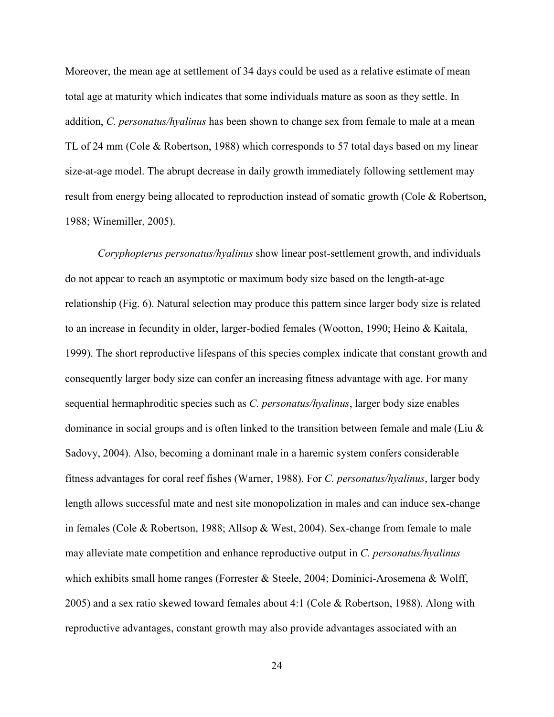Moreover, the mean age at settlement of 34 days could be used as a relative estimate of mean total age at maturity which indicates that some individuals mature as soon as they settle. In addition, *C. personatus/hyalinus* has been shown to change sex from female to male at a mean TL of 24 mm (Cole & Robertson, 1988) which corresponds to 57 total days based on my linear size-at-age model. The abrupt decrease in daily growth immediately following settlement may result from energy being allocated to reproduction instead of somatic growth (Cole & Robertson, 1988; Winemiller, 2005).

*Coryphopterus personatus/hyalinus* show linear post-settlement growth, and individuals do not appear to reach an asymptotic or maximum body size based on the length-at-age relationship (Fig. 6). Natural selection may produce this pattern since larger body size is related to an increase in fecundity in older, larger-bodied females (Wootton, 1990; Heino & Kaitala, 1999). The short reproductive lifespans of this species complex indicate that constant growth and consequently larger body size can confer an increasing fitness advantage with age. For many sequential hermaphroditic species such as *C. personatus/hyalinus*, larger body size enables dominance in social groups and is often linked to the transition between female and male (Liu & Sadovy, 2004). Also, becoming a dominant male in a haremic system confers considerable fitness advantages for coral reef fishes (Warner, 1988). For *C. personatus/hyalinus*, larger body length allows successful mate and nest site monopolization in males and can induce sex-change in females (Cole & Robertson, 1988; Allsop & West, 2004). Sex-change from female to male may alleviate mate competition and enhance reproductive output in *C. personatus/hyalinus* which exhibits small home ranges (Forrester & Steele, 2004; Dominici-Arosemena & Wolff, 2005) and a sex ratio skewed toward females about 4:1 (Cole & Robertson, 1988). Along with reproductive advantages, constant growth may also provide advantages associated with an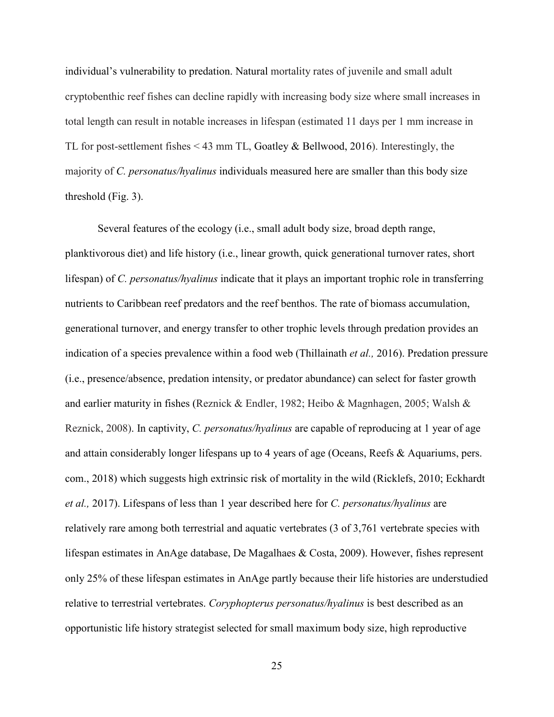individual's vulnerability to predation. Natural mortality rates of juvenile and small adult cryptobenthic reef fishes can decline rapidly with increasing body size where small increases in total length can result in notable increases in lifespan (estimated 11 days per 1 mm increase in TL for post-settlement fishes  $\leq$  43 mm TL, Goatley & Bellwood, 2016). Interestingly, the majority of *C. personatus/hyalinus* individuals measured here are smaller than this body size threshold (Fig. 3).

 Several features of the ecology (i.e., small adult body size, broad depth range, planktivorous diet) and life history (i.e., linear growth, quick generational turnover rates, short lifespan) of *C. personatus/hyalinus* indicate that it plays an important trophic role in transferring nutrients to Caribbean reef predators and the reef benthos. The rate of biomass accumulation, generational turnover, and energy transfer to other trophic levels through predation provides an indication of a species prevalence within a food web (Thillainath *et al.,* 2016). Predation pressure (i.e., presence/absence, predation intensity, or predator abundance) can select for faster growth and earlier maturity in fishes (Reznick & Endler, 1982; Heibo & Magnhagen, 2005; Walsh & Reznick, 2008). In captivity, *C. personatus/hyalinus* are capable of reproducing at 1 year of age and attain considerably longer lifespans up to 4 years of age (Oceans, Reefs & Aquariums, pers. com., 2018) which suggests high extrinsic risk of mortality in the wild (Ricklefs, 2010; Eckhardt *et al.,* 2017). Lifespans of less than 1 year described here for *C. personatus/hyalinus* are relatively rare among both terrestrial and aquatic vertebrates (3 of 3,761 vertebrate species with lifespan estimates in AnAge database, De Magalhaes & Costa, 2009). However, fishes represent only 25% of these lifespan estimates in AnAge partly because their life histories are understudied relative to terrestrial vertebrates. *Coryphopterus personatus/hyalinus* is best described as an opportunistic life history strategist selected for small maximum body size, high reproductive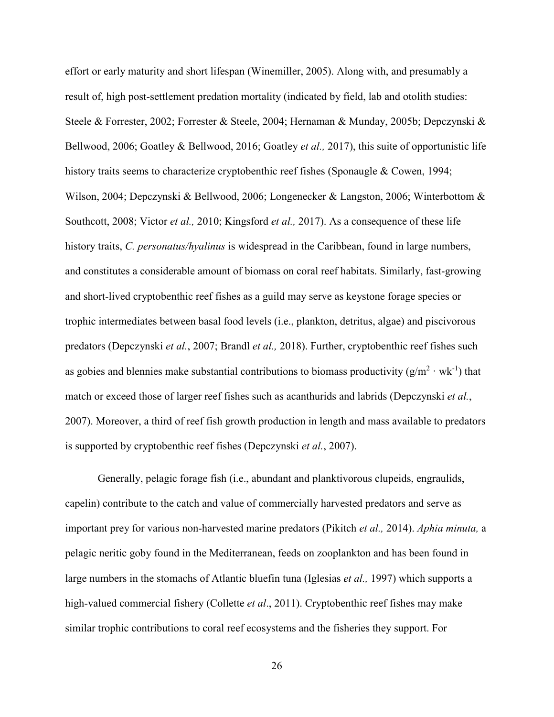effort or early maturity and short lifespan (Winemiller, 2005). Along with, and presumably a result of, high post-settlement predation mortality (indicated by field, lab and otolith studies: Steele & Forrester, 2002; Forrester & Steele, 2004; Hernaman & Munday, 2005b; Depczynski & Bellwood, 2006; Goatley & Bellwood, 2016; Goatley *et al.,* 2017), this suite of opportunistic life history traits seems to characterize cryptobenthic reef fishes (Sponaugle & Cowen, 1994; Wilson, 2004; Depczynski & Bellwood, 2006; Longenecker & Langston, 2006; Winterbottom & Southcott, 2008; Victor *et al.,* 2010; Kingsford *et al.,* 2017). As a consequence of these life history traits, *C. personatus/hyalinus* is widespread in the Caribbean, found in large numbers, and constitutes a considerable amount of biomass on coral reef habitats. Similarly, fast-growing and short-lived cryptobenthic reef fishes as a guild may serve as keystone forage species or trophic intermediates between basal food levels (i.e., plankton, detritus, algae) and piscivorous predators (Depczynski *et al.*, 2007; Brandl *et al.,* 2018). Further, cryptobenthic reef fishes such as gobies and blennies make substantial contributions to biomass productivity  $(g/m^2 \cdot wk^{-1})$  that match or exceed those of larger reef fishes such as acanthurids and labrids (Depczynski *et al.*, 2007). Moreover, a third of reef fish growth production in length and mass available to predators is supported by cryptobenthic reef fishes (Depczynski *et al.*, 2007).

 Generally, pelagic forage fish (i.e., abundant and planktivorous clupeids, engraulids, capelin) contribute to the catch and value of commercially harvested predators and serve as important prey for various non-harvested marine predators (Pikitch *et al.,* 2014). *Aphia minuta,* a pelagic neritic goby found in the Mediterranean, feeds on zooplankton and has been found in large numbers in the stomachs of Atlantic bluefin tuna (Iglesias *et al.,* 1997) which supports a high-valued commercial fishery (Collette *et al*., 2011). Cryptobenthic reef fishes may make similar trophic contributions to coral reef ecosystems and the fisheries they support. For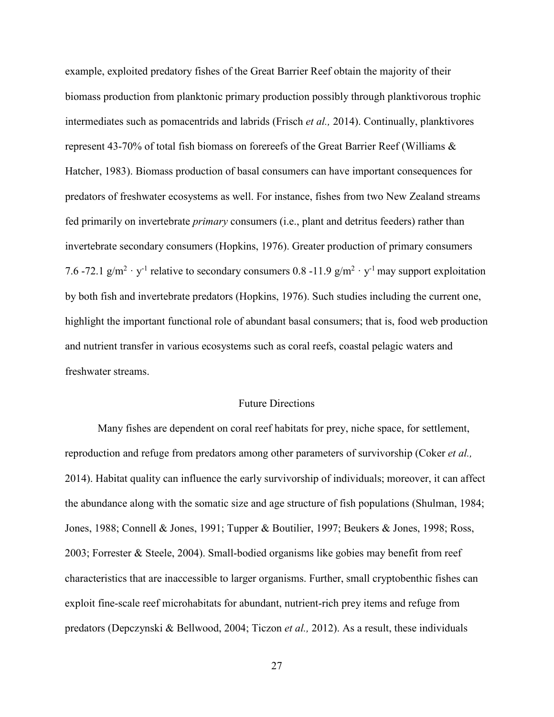example, exploited predatory fishes of the Great Barrier Reef obtain the majority of their biomass production from planktonic primary production possibly through planktivorous trophic intermediates such as pomacentrids and labrids (Frisch *et al.,* 2014). Continually, planktivores represent 43-70% of total fish biomass on forereefs of the Great Barrier Reef (Williams & Hatcher, 1983). Biomass production of basal consumers can have important consequences for predators of freshwater ecosystems as well. For instance, fishes from two New Zealand streams fed primarily on invertebrate *primary* consumers (i.e., plant and detritus feeders) rather than invertebrate secondary consumers (Hopkins, 1976). Greater production of primary consumers 7.6 -72.1 g/m<sup>2</sup> · y<sup>-1</sup> relative to secondary consumers 0.8 -11.9 g/m<sup>2</sup> · y<sup>-1</sup> may support exploitation by both fish and invertebrate predators (Hopkins, 1976). Such studies including the current one, highlight the important functional role of abundant basal consumers; that is, food web production and nutrient transfer in various ecosystems such as coral reefs, coastal pelagic waters and freshwater streams.

## Future Directions

Many fishes are dependent on coral reef habitats for prey, niche space, for settlement, reproduction and refuge from predators among other parameters of survivorship (Coker *et al.,* 2014). Habitat quality can influence the early survivorship of individuals; moreover, it can affect the abundance along with the somatic size and age structure of fish populations (Shulman, 1984; Jones, 1988; Connell & Jones, 1991; Tupper & Boutilier, 1997; Beukers & Jones, 1998; Ross, 2003; Forrester & Steele, 2004). Small-bodied organisms like gobies may benefit from reef characteristics that are inaccessible to larger organisms. Further, small cryptobenthic fishes can exploit fine-scale reef microhabitats for abundant, nutrient-rich prey items and refuge from predators (Depczynski & Bellwood, 2004; Ticzon *et al.,* 2012). As a result, these individuals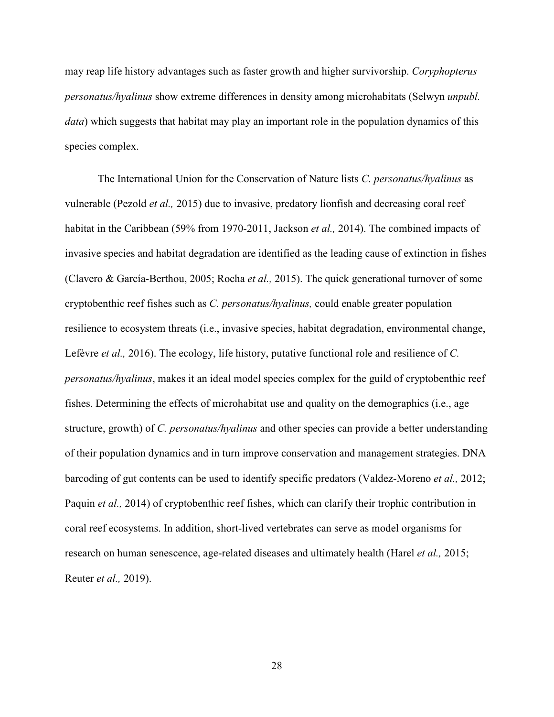may reap life history advantages such as faster growth and higher survivorship. *Coryphopterus personatus/hyalinus* show extreme differences in density among microhabitats (Selwyn *unpubl. data*) which suggests that habitat may play an important role in the population dynamics of this species complex.

The International Union for the Conservation of Nature lists *C. personatus/hyalinus* as vulnerable (Pezold *et al.,* 2015) due to invasive, predatory lionfish and decreasing coral reef habitat in the Caribbean (59% from 1970-2011, Jackson *et al.,* 2014). The combined impacts of invasive species and habitat degradation are identified as the leading cause of extinction in fishes (Clavero & García-Berthou, 2005; Rocha *et al.,* 2015). The quick generational turnover of some cryptobenthic reef fishes such as *C. personatus/hyalinus,* could enable greater population resilience to ecosystem threats (i.e., invasive species, habitat degradation, environmental change, Lefèvre *et al.,* 2016). The ecology, life history, putative functional role and resilience of *C. personatus/hyalinus*, makes it an ideal model species complex for the guild of cryptobenthic reef fishes. Determining the effects of microhabitat use and quality on the demographics (i.e., age structure, growth) of *C. personatus/hyalinus* and other species can provide a better understanding of their population dynamics and in turn improve conservation and management strategies. DNA barcoding of gut contents can be used to identify specific predators (Valdez-Moreno *et al.,* 2012; Paquin *et al.,* 2014) of cryptobenthic reef fishes, which can clarify their trophic contribution in coral reef ecosystems. In addition, short-lived vertebrates can serve as model organisms for research on human senescence, age-related diseases and ultimately health (Harel *et al.,* 2015; Reuter *et al.,* 2019).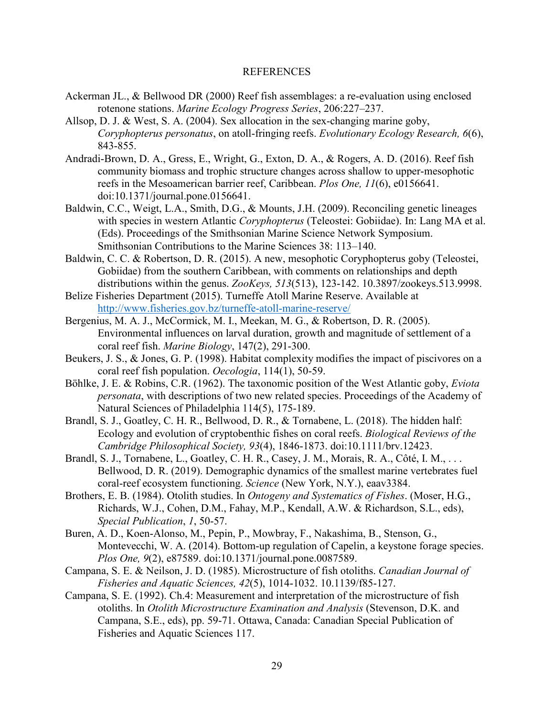### REFERENCES

- Ackerman JL., & Bellwood DR (2000) Reef fish assemblages: a re-evaluation using enclosed rotenone stations. *Marine Ecology Progress Series*, 206:227–237.
- Allsop, D. J. & West, S. A. (2004). Sex allocation in the sex-changing marine goby, *Coryphopterus personatus*, on atoll-fringing reefs. *Evolutionary Ecology Research, 6*(6), 843-855.
- Andradi-Brown, D. A., Gress, E., Wright, G., Exton, D. A., & Rogers, A. D. (2016). Reef fish community biomass and trophic structure changes across shallow to upper-mesophotic reefs in the Mesoamerican barrier reef, Caribbean. *Plos One, 11*(6), e0156641. doi:10.1371/journal.pone.0156641.
- Baldwin, C.C., Weigt, L.A., Smith, D.G., & Mounts, J.H. (2009). Reconciling genetic lineages with species in western Atlantic *Coryphopterus* (Teleostei: Gobiidae). In: Lang MA et al. (Eds). Proceedings of the Smithsonian Marine Science Network Symposium. Smithsonian Contributions to the Marine Sciences 38: 113–140.
- Baldwin, C. C. & Robertson, D. R. (2015). A new, mesophotic Coryphopterus goby (Teleostei, Gobiidae) from the southern Caribbean, with comments on relationships and depth distributions within the genus. *ZooKeys, 513*(513), 123-142. 10.3897/zookeys.513.9998.
- Belize Fisheries Department (2015). Turneffe Atoll Marine Reserve. Available at http://www.fisheries.gov.bz/turneffe-atoll-marine-reserve/
- Bergenius, M. A. J., McCormick, M. I., Meekan, M. G., & Robertson, D. R. (2005). Environmental influences on larval duration, growth and magnitude of settlement of a coral reef fish. *Marine Biology*, 147(2), 291-300.
- Beukers, J. S., & Jones, G. P. (1998). Habitat complexity modifies the impact of piscivores on a coral reef fish population. *Oecologia*, 114(1), 50-59.
- Böhlke, J. E. & Robins, C.R. (1962). The taxonomic position of the West Atlantic goby, *Eviota personata*, with descriptions of two new related species. Proceedings of the Academy of Natural Sciences of Philadelphia 114(5), 175-189.
- Brandl, S. J., Goatley, C. H. R., Bellwood, D. R., & Tornabene, L. (2018). The hidden half: Ecology and evolution of cryptobenthic fishes on coral reefs. *Biological Reviews of the Cambridge Philosophical Society, 93*(4), 1846-1873. doi:10.1111/brv.12423.
- Brandl, S. J., Tornabene, L., Goatley, C. H. R., Casey, J. M., Morais, R. A., Côté, I. M., . . . Bellwood, D. R. (2019). Demographic dynamics of the smallest marine vertebrates fuel coral-reef ecosystem functioning. *Science* (New York, N.Y.), eaav3384.
- Brothers, E. B. (1984). Otolith studies. In *Ontogeny and Systematics of Fishes*. (Moser, H.G., Richards, W.J., Cohen, D.M., Fahay, M.P., Kendall, A.W. & Richardson, S.L., eds),  *Special Publication*, *1*, 50-57.
- Buren, A. D., Koen-Alonso, M., Pepin, P., Mowbray, F., Nakashima, B., Stenson, G., Montevecchi, W. A. (2014). Bottom-up regulation of Capelin, a keystone forage species.  *Plos One, 9*(2), e87589. doi:10.1371/journal.pone.0087589.
- Campana, S. E. & Neilson, J. D. (1985). Microstructure of fish otoliths. *Canadian Journal of Fisheries and Aquatic Sciences, 42*(5), 1014-1032. 10.1139/f85-127.
- Campana, S. E. (1992). Ch.4: Measurement and interpretation of the microstructure of fish otoliths. In *Otolith Microstructure Examination and Analysis* (Stevenson, D.K. and Campana, S.E., eds), pp. 59-71. Ottawa, Canada: Canadian Special Publication of Fisheries and Aquatic Sciences 117.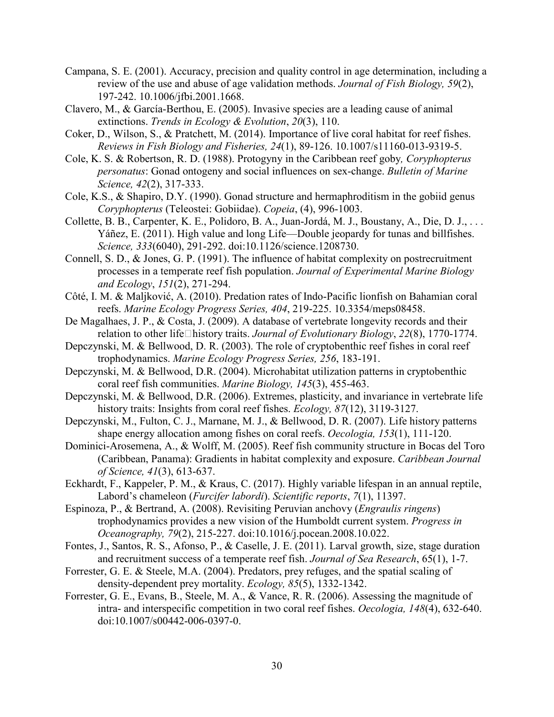- Campana, S. E. (2001). Accuracy, precision and quality control in age determination, including a review of the use and abuse of age validation methods. *Journal of Fish Biology, 59*(2), 197-242. 10.1006/jfbi.2001.1668.
- Clavero, M., & García-Berthou, E. (2005). Invasive species are a leading cause of animal extinctions. *Trends in Ecology & Evolution*, *20*(3), 110.
- Coker, D., Wilson, S., & Pratchett, M. (2014). Importance of live coral habitat for reef fishes. *Reviews in Fish Biology and Fisheries, 24*(1), 89-126. 10.1007/s11160-013-9319-5.
- Cole, K. S. & Robertson, R. D. (1988). Protogyny in the Caribbean reef goby*, Coryphopterus personatus*: Gonad ontogeny and social influences on sex-change. *Bulletin of Marine Science, 42*(2), 317-333.
- Cole, K.S., & Shapiro, D.Y. (1990). Gonad structure and hermaphroditism in the gobiid genus *Coryphopterus* (Teleostei: Gobiidae). *Copeia*, (4), 996-1003.
- Collette, B. B., Carpenter, K. E., Polidoro, B. A., Juan-Jordá, M. J., Boustany, A., Die, D. J., . . . Yáñez, E. (2011). High value and long Life—Double jeopardy for tunas and billfishes.  *Science, 333*(6040), 291-292. doi:10.1126/science.1208730.
- Connell, S. D., & Jones, G. P. (1991). The influence of habitat complexity on postrecruitment processes in a temperate reef fish population. *Journal of Experimental Marine Biology and Ecology*, *151*(2), 271-294.
- Côté, I. M. & Maljković, A. (2010). Predation rates of Indo-Pacific lionfish on Bahamian coral reefs. *Marine Ecology Progress Series, 404*, 219-225. 10.3354/meps08458.
- De Magalhaes, J. P., & Costa, J. (2009). A database of vertebrate longevity records and their relation to other life□history traits. *Journal of Evolutionary Biology*, 22(8), 1770-1774.
- Depczynski, M. & Bellwood, D. R. (2003). The role of cryptobenthic reef fishes in coral reef trophodynamics. *Marine Ecology Progress Series, 256*, 183-191.
- Depczynski, M. & Bellwood, D.R. (2004). Microhabitat utilization patterns in cryptobenthic coral reef fish communities. *Marine Biology, 145*(3), 455-463.
- Depczynski, M. & Bellwood, D.R. (2006). Extremes, plasticity, and invariance in vertebrate life history traits: Insights from coral reef fishes. *Ecology, 87*(12), 3119-3127.
- Depczynski, M., Fulton, C. J., Marnane, M. J., & Bellwood, D. R. (2007). Life history patterns shape energy allocation among fishes on coral reefs. *Oecologia, 153*(1), 111-120.
- Dominici-Arosemena, A., & Wolff, M. (2005). Reef fish community structure in Bocas del Toro (Caribbean, Panama): Gradients in habitat complexity and exposure. *Caribbean Journal of Science, 41*(3), 613-637.
- Eckhardt, F., Kappeler, P. M., & Kraus, C. (2017). Highly variable lifespan in an annual reptile, Labord's chameleon (*Furcifer labordi*). *Scientific reports*, *7*(1), 11397.
- Espinoza, P., & Bertrand, A. (2008). Revisiting Peruvian anchovy (*Engraulis ringens*) trophodynamics provides a new vision of the Humboldt current system. *Progress in Oceanography, 79*(2), 215-227. doi:10.1016/j.pocean.2008.10.022.
- Fontes, J., Santos, R. S., Afonso, P., & Caselle, J. E. (2011). Larval growth, size, stage duration and recruitment success of a temperate reef fish. *Journal of Sea Research*, 65(1), 1-7.
- Forrester, G. E. & Steele, M.A. (2004). Predators, prey refuges, and the spatial scaling of density-dependent prey mortality. *Ecology, 85*(5), 1332-1342.
- Forrester, G. E., Evans, B., Steele, M. A., & Vance, R. R. (2006). Assessing the magnitude of intra- and interspecific competition in two coral reef fishes. *Oecologia, 148*(4), 632-640. doi:10.1007/s00442-006-0397-0.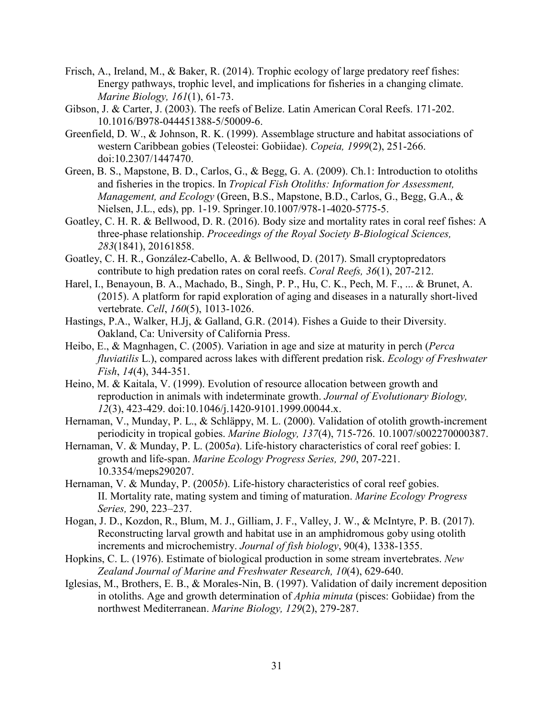- Frisch, A., Ireland, M., & Baker, R. (2014). Trophic ecology of large predatory reef fishes: Energy pathways, trophic level, and implications for fisheries in a changing climate.  *Marine Biology, 161*(1), 61-73.
- Gibson, J. & Carter, J. (2003). The reefs of Belize. Latin American Coral Reefs. 171-202. 10.1016/B978-044451388-5/50009-6.
- Greenfield, D. W., & Johnson, R. K. (1999). Assemblage structure and habitat associations of western Caribbean gobies (Teleostei: Gobiidae). *Copeia, 1999*(2), 251-266. doi:10.2307/1447470.
- Green, B. S., Mapstone, B. D., Carlos, G., & Begg, G. A. (2009). Ch.1: Introduction to otoliths and fisheries in the tropics. In *Tropical Fish Otoliths: Information for Assessment, Management, and Ecology* (Green, B.S., Mapstone, B.D., Carlos, G., Begg, G.A., & Nielsen, J.L., eds), pp. 1-19. Springer.10.1007/978-1-4020-5775-5.
- Goatley, C. H. R. & Bellwood, D. R. (2016). Body size and mortality rates in coral reef fishes: A three-phase relationship. *Proceedings of the Royal Society B-Biological Sciences, 283*(1841), 20161858.
- Goatley, C. H. R., González-Cabello, A. & Bellwood, D. (2017). Small cryptopredators contribute to high predation rates on coral reefs. *Coral Reefs, 36*(1), 207-212.
- Harel, I., Benayoun, B. A., Machado, B., Singh, P. P., Hu, C. K., Pech, M. F., ... & Brunet, A. (2015). A platform for rapid exploration of aging and diseases in a naturally short-lived vertebrate. *Cell*, *160*(5), 1013-1026.
- Hastings, P.A., Walker, H.Jj, & Galland, G.R. (2014). Fishes a Guide to their Diversity. Oakland, Ca: University of California Press.
- Heibo, E., & Magnhagen, C. (2005). Variation in age and size at maturity in perch (*Perca fluviatilis* L.), compared across lakes with different predation risk. *Ecology of Freshwater Fish*, *14*(4), 344-351.
- Heino, M. & Kaitala, V. (1999). Evolution of resource allocation between growth and reproduction in animals with indeterminate growth. *Journal of Evolutionary Biology, 12*(3), 423-429. doi:10.1046/j.1420-9101.1999.00044.x.
- Hernaman, V., Munday, P. L., & Schläppy, M. L. (2000). Validation of otolith growth-increment periodicity in tropical gobies. *Marine Biology, 137*(4), 715-726. 10.1007/s002270000387.
- Hernaman, V. & Munday, P. L. (2005*a*). Life-history characteristics of coral reef gobies: I. growth and life-span. *Marine Ecology Progress Series, 290*, 207-221. 10.3354/meps290207.
- Hernaman, V. & Munday, P. (2005*b*). Life-history characteristics of coral reef gobies. II. Mortality rate, mating system and timing of maturation. *Marine Ecology Progress Series,* 290, 223–237.
- Hogan, J. D., Kozdon, R., Blum, M. J., Gilliam, J. F., Valley, J. W., & McIntyre, P. B. (2017). Reconstructing larval growth and habitat use in an amphidromous goby using otolith increments and microchemistry. *Journal of fish biology*, 90(4), 1338-1355.
- Hopkins, C. L. (1976). Estimate of biological production in some stream invertebrates. *New Zealand Journal of Marine and Freshwater Research, 10*(4), 629-640.
- Iglesias, M., Brothers, E. B., & Morales-Nin, B. (1997). Validation of daily increment deposition in otoliths. Age and growth determination of *Aphia minuta* (pisces: Gobiidae) from the northwest Mediterranean. *Marine Biology, 129*(2), 279-287.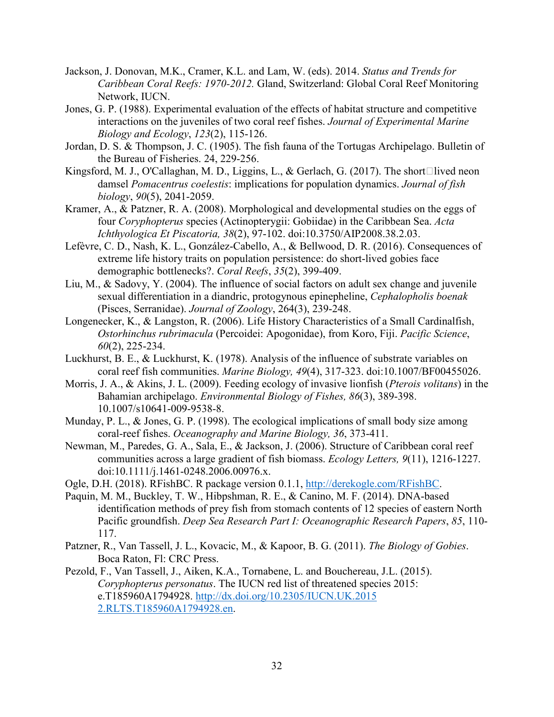- Jackson, J. Donovan, M.K., Cramer, K.L. and Lam, W. (eds). 2014. *Status and Trends for Caribbean Coral Reefs: 1970-2012.* Gland, Switzerland: Global Coral Reef Monitoring Network, IUCN.
- Jones, G. P. (1988). Experimental evaluation of the effects of habitat structure and competitive interactions on the juveniles of two coral reef fishes. *Journal of Experimental Marine Biology and Ecology*, *123*(2), 115-126.
- Jordan, D. S. & Thompson, J. C. (1905). The fish fauna of the Tortugas Archipelago. Bulletin of the Bureau of Fisheries. 24, 229-256.
- Kingsford, M. J., O'Callaghan, M. D., Liggins, L., & Gerlach, G. (2017). The short lived neon damsel *Pomacentrus coelestis*: implications for population dynamics. *Journal of fish biology*, *90*(5), 2041-2059.
- Kramer, A., & Patzner, R. A. (2008). Morphological and developmental studies on the eggs of four *Coryphopterus* species (Actinopterygii: Gobiidae) in the Caribbean Sea. *Acta Ichthyologica Et Piscatoria, 38*(2), 97-102. doi:10.3750/AIP2008.38.2.03.
- Lefèvre, C. D., Nash, K. L., González-Cabello, A., & Bellwood, D. R. (2016). Consequences of extreme life history traits on population persistence: do short-lived gobies face demographic bottlenecks?. *Coral Reefs*, *35*(2), 399-409.
- Liu, M., & Sadovy, Y. (2004). The influence of social factors on adult sex change and juvenile sexual differentiation in a diandric, protogynous epinepheline, *Cephalopholis boenak* (Pisces, Serranidae). *Journal of Zoology*, 264(3), 239-248.
- Longenecker, K., & Langston, R. (2006). Life History Characteristics of a Small Cardinalfish, *Ostorhinchus rubrimacula* (Percoidei: Apogonidae), from Koro, Fiji. *Pacific Science*, *60*(2), 225-234.
- Luckhurst, B. E., & Luckhurst, K. (1978). Analysis of the influence of substrate variables on coral reef fish communities. *Marine Biology, 49*(4), 317-323. doi:10.1007/BF00455026.
- Morris, J. A., & Akins, J. L. (2009). Feeding ecology of invasive lionfish (*Pterois volitans*) in the Bahamian archipelago. *Environmental Biology of Fishes, 86*(3), 389-398. 10.1007/s10641-009-9538-8.
- Munday, P. L., & Jones, G. P. (1998). The ecological implications of small body size among coral-reef fishes. *Oceanography and Marine Biology, 36*, 373-411.
- Newman, M., Paredes, G. A., Sala, E., & Jackson, J. (2006). Structure of Caribbean coral reef communities across a large gradient of fish biomass. *Ecology Letters, 9*(11), 1216-1227. doi:10.1111/j.1461-0248.2006.00976.x.
- Ogle, D.H. (2018). RFishBC. R package version 0.1.1, http://derekogle.com/RFishBC.
- Paquin, M. M., Buckley, T. W., Hibpshman, R. E., & Canino, M. F. (2014). DNA-based identification methods of prey fish from stomach contents of 12 species of eastern North Pacific groundfish. *Deep Sea Research Part I: Oceanographic Research Papers*, *85*, 110- 117.
- Patzner, R., Van Tassell, J. L., Kovacic, M., & Kapoor, B. G. (2011). *The Biology of Gobies*. Boca Raton, Fl: CRC Press.
- Pezold, F., Van Tassell, J., Aiken, K.A., Tornabene, L. and Bouchereau, J.L. (2015). *Coryphopterus personatus*. The IUCN red list of threatened species 2015: e.T185960A1794928. http://dx.doi.org/10.2305/IUCN.UK.2015 2.RLTS.T185960A1794928.en.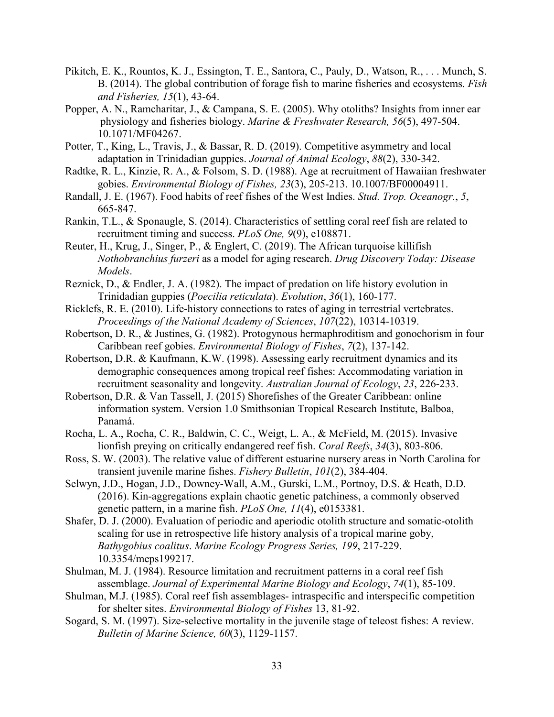- Pikitch, E. K., Rountos, K. J., Essington, T. E., Santora, C., Pauly, D., Watson, R., . . . Munch, S. B. (2014). The global contribution of forage fish to marine fisheries and ecosystems. *Fish and Fisheries, 15*(1), 43-64.
- Popper, A. N., Ramcharitar, J., & Campana, S. E. (2005). Why otoliths? Insights from inner ear physiology and fisheries biology. *Marine & Freshwater Research, 56*(5), 497-504. 10.1071/MF04267.
- Potter, T., King, L., Travis, J., & Bassar, R. D. (2019). Competitive asymmetry and local adaptation in Trinidadian guppies. *Journal of Animal Ecology*, *88*(2), 330-342.
- Radtke, R. L., Kinzie, R. A., & Folsom, S. D. (1988). Age at recruitment of Hawaiian freshwater gobies. *Environmental Biology of Fishes, 23*(3), 205-213. 10.1007/BF00004911.
- Randall, J. E. (1967). Food habits of reef fishes of the West Indies. *Stud. Trop. Oceanogr.*, *5*, 665-847.
- Rankin, T.L., & Sponaugle, S. (2014). Characteristics of settling coral reef fish are related to recruitment timing and success. *PLoS One, 9*(9), e108871.
- Reuter, H., Krug, J., Singer, P., & Englert, C. (2019). The African turquoise killifish *Nothobranchius furzeri* as a model for aging research. *Drug Discovery Today: Disease Models*.
- Reznick, D., & Endler, J. A. (1982). The impact of predation on life history evolution in Trinidadian guppies (*Poecilia reticulata*). *Evolution*, *36*(1), 160-177.
- Ricklefs, R. E. (2010). Life-history connections to rates of aging in terrestrial vertebrates. *Proceedings of the National Academy of Sciences*, *107*(22), 10314-10319.
- Robertson, D. R., & Justines, G. (1982). Protogynous hermaphroditism and gonochorism in four Caribbean reef gobies. *Environmental Biology of Fishes*, *7*(2), 137-142.
- Robertson, D.R. & Kaufmann, K.W. (1998). Assessing early recruitment dynamics and its demographic consequences among tropical reef fishes: Accommodating variation in recruitment seasonality and longevity. *Australian Journal of Ecology*, *23*, 226-233.
- Robertson, D.R. & Van Tassell, J. (2015) Shorefishes of the Greater Caribbean: online information system. Version 1.0 Smithsonian Tropical Research Institute, Balboa, Panamá.
- Rocha, L. A., Rocha, C. R., Baldwin, C. C., Weigt, L. A., & McField, M. (2015). Invasive lionfish preying on critically endangered reef fish. *Coral Reefs*, *34*(3), 803-806.
- Ross, S. W. (2003). The relative value of different estuarine nursery areas in North Carolina for transient juvenile marine fishes. *Fishery Bulletin*, *101*(2), 384-404.
- Selwyn, J.D., Hogan, J.D., Downey-Wall, A.M., Gurski, L.M., Portnoy, D.S. & Heath, D.D. (2016). Kin-aggregations explain chaotic genetic patchiness, a commonly observed genetic pattern, in a marine fish. *PLoS One, 11*(4), e0153381.
- Shafer, D. J. (2000). Evaluation of periodic and aperiodic otolith structure and somatic-otolith scaling for use in retrospective life history analysis of a tropical marine goby, *Bathygobius coalitus*. *Marine Ecology Progress Series, 199*, 217-229. 10.3354/meps199217.
- Shulman, M. J. (1984). Resource limitation and recruitment patterns in a coral reef fish assemblage. *Journal of Experimental Marine Biology and Ecology*, *74*(1), 85-109.
- Shulman, M.J. (1985). Coral reef fish assemblages- intraspecific and interspecific competition for shelter sites. *Environmental Biology of Fishes* 13, 81-92.
- Sogard, S. M. (1997). Size-selective mortality in the juvenile stage of teleost fishes: A review.  *Bulletin of Marine Science, 60*(3), 1129-1157.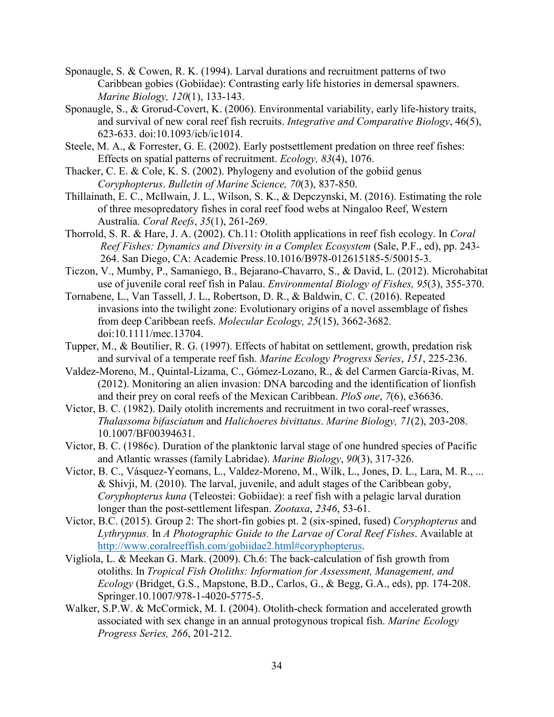- Sponaugle, S. & Cowen, R. K. (1994). Larval durations and recruitment patterns of two Caribbean gobies (Gobiidae): Contrasting early life histories in demersal spawners. *Marine Biology, 120*(1), 133-143.
- Sponaugle, S., & Grorud-Covert, K. (2006). Environmental variability, early life-history traits, and survival of new coral reef fish recruits. *Integrative and Comparative Biology*, 46(5), 623-633. doi:10.1093/icb/ic1014.
- Steele, M. A., & Forrester, G. E. (2002). Early postsettlement predation on three reef fishes: Effects on spatial patterns of recruitment. *Ecology, 83*(4), 1076.
- Thacker, C. E. & Cole, K. S. (2002). Phylogeny and evolution of the gobiid genus *Coryphopterus*. *Bulletin of Marine Science, 70*(3), 837-850.
- Thillainath, E. C., McIlwain, J. L., Wilson, S. K., & Depczynski, M. (2016). Estimating the role of three mesopredatory fishes in coral reef food webs at Ningaloo Reef, Western Australia. *Coral Reefs*, *35*(1), 261-269.
- Thorrold, S. R. & Hare, J. A. (2002). Ch.11: Otolith applications in reef fish ecology. In *Coral Reef Fishes: Dynamics and Diversity in a Complex Ecosystem* (Sale, P.F., ed), pp. 243- 264. San Diego, CA: Academic Press.10.1016/B978-012615185-5/50015-3.
- Ticzon, V., Mumby, P., Samaniego, B., Bejarano-Chavarro, S., & David, L. (2012). Microhabitat use of juvenile coral reef fish in Palau. *Environmental Biology of Fishes, 95*(3), 355-370.
- Tornabene, L., Van Tassell, J. L., Robertson, D. R., & Baldwin, C. C. (2016). Repeated invasions into the twilight zone: Evolutionary origins of a novel assemblage of fishes from deep Caribbean reefs. *Molecular Ecology, 25*(15), 3662-3682. doi:10.1111/mec.13704.
- Tupper, M., & Boutilier, R. G. (1997). Effects of habitat on settlement, growth, predation risk and survival of a temperate reef fish. *Marine Ecology Progress Series*, *151*, 225-236.
- Valdez-Moreno, M., Quintal-Lizama, C., Gómez-Lozano, R., & del Carmen García-Rivas, M. (2012). Monitoring an alien invasion: DNA barcoding and the identification of lionfish and their prey on coral reefs of the Mexican Caribbean. *PloS one*, *7*(6), e36636.
- Victor, B. C. (1982). Daily otolith increments and recruitment in two coral-reef wrasses, *Thalassoma bifasciatum* and *Halichoeres bivittatus*. *Marine Biology, 71*(2), 203-208. 10.1007/BF00394631.
- Victor, B. C. (1986c). Duration of the planktonic larval stage of one hundred species of Pacific and Atlantic wrasses (family Labridae). *Marine Biology*, *90*(3), 317-326.
- Victor, B. C., Vásquez-Yeomans, L., Valdez-Moreno, M., Wilk, L., Jones, D. L., Lara, M. R., ... & Shivji, M. (2010). The larval, juvenile, and adult stages of the Caribbean goby, *Coryphopterus kuna* (Teleostei: Gobiidae): a reef fish with a pelagic larval duration longer than the post-settlement lifespan. *Zootaxa*, *2346*, 53-61.
- Victor, B.C. (2015). Group 2: The short-fin gobies pt. 2 (six-spined, fused) *Coryphopterus* and *Lythrypnus.* In *A Photographic Guide to the Larvae of Coral Reef Fishes*. Available at http://www.coralreeffish.com/gobiidae2.html#coryphopterus.
- Vigliola, L. & Meekan G. Mark. (2009). Ch.6: The back-calculation of fish growth from otoliths. In *Tropical Fish Otoliths: Information for Assessment, Management, and Ecology* (Bridget, G.S., Mapstone, B.D., Carlos, G., & Begg, G.A., eds), pp. 174-208. Springer.10.1007/978-1-4020-5775-5.
- Walker, S.P.W. & McCormick, M. I. (2004). Otolith-check formation and accelerated growth associated with sex change in an annual protogynous tropical fish. *Marine Ecology Progress Series, 266*, 201-212.